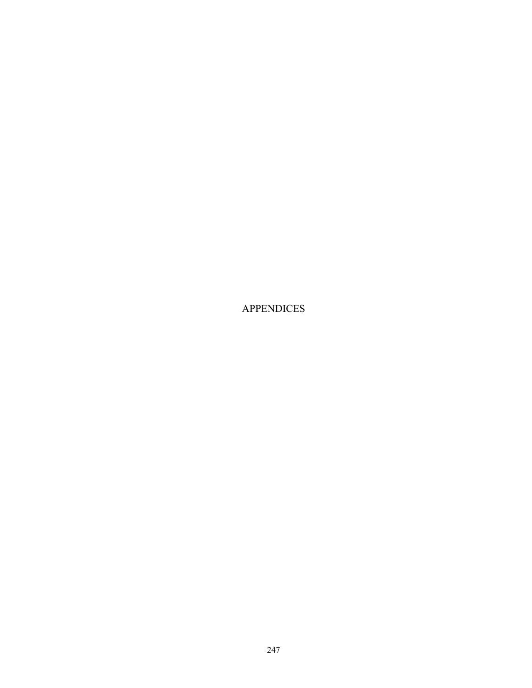APPENDICES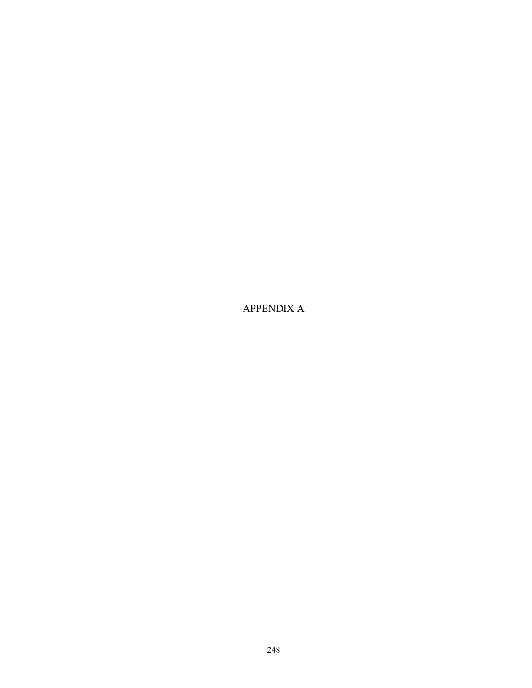APPENDIX A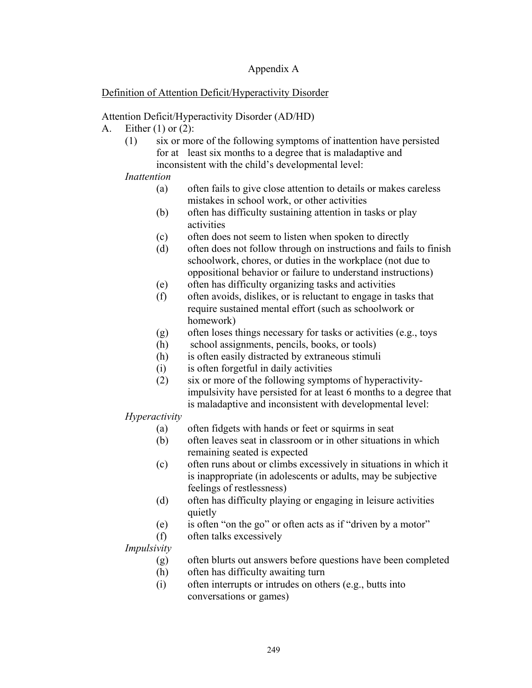## Appendix A

## Definition of Attention Deficit/Hyperactivity Disorder

## Attention Deficit/Hyperactivity Disorder (AD/HD)

- A. Either (1) or (2):
	- (1) six or more of the following symptoms of inattention have persisted for at least six months to a degree that is maladaptive and inconsistent with the child's developmental level:

## *Inattention*

- (a) often fails to give close attention to details or makes careless mistakes in school work, or other activities
- (b) often has difficulty sustaining attention in tasks or play activities
- (c) often does not seem to listen when spoken to directly
- (d) often does not follow through on instructions and fails to finish schoolwork, chores, or duties in the workplace (not due to oppositional behavior or failure to understand instructions)
- (e) often has difficulty organizing tasks and activities
- (f) often avoids, dislikes, or is reluctant to engage in tasks that require sustained mental effort (such as schoolwork or homework)
- (g) often loses things necessary for tasks or activities (e.g., toys
- (h) school assignments, pencils, books, or tools)
- (h) is often easily distracted by extraneous stimuli
- (i) is often forgetful in daily activities
- (2) six or more of the following symptoms of hyperactivityimpulsivity have persisted for at least 6 months to a degree that is maladaptive and inconsistent with developmental level:

## *Hyperactivity*

- (a) often fidgets with hands or feet or squirms in seat
- (b) often leaves seat in classroom or in other situations in which remaining seated is expected
- (c) often runs about or climbs excessively in situations in which it is inappropriate (in adolescents or adults, may be subjective feelings of restlessness)
- (d) often has difficulty playing or engaging in leisure activities quietly
- (e) is often "on the go" or often acts as if "driven by a motor"
- (f) often talks excessively

## *Impulsivity*

- (g) often blurts out answers before questions have been completed
- (h) often has difficulty awaiting turn
- (i) often interrupts or intrudes on others (e.g., butts into conversations or games)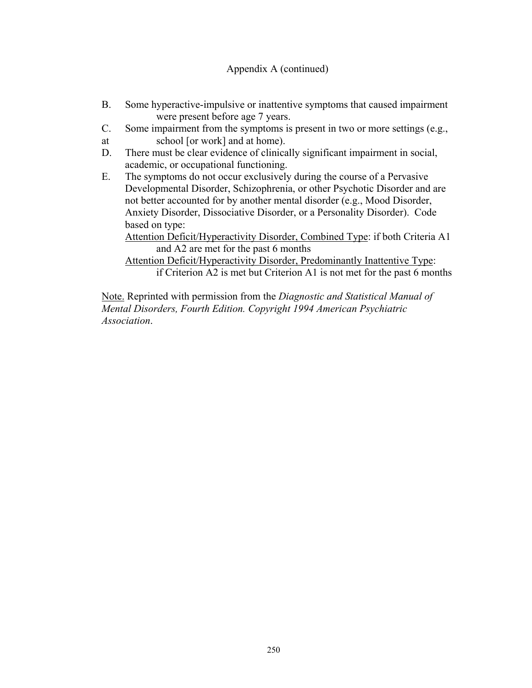## Appendix A (continued)

- B. Some hyperactive-impulsive or inattentive symptoms that caused impairment were present before age 7 years.
- C. Some impairment from the symptoms is present in two or more settings (e.g.,
- at school [or work] and at home).
- D. There must be clear evidence of clinically significant impairment in social, academic, or occupational functioning.
- E. The symptoms do not occur exclusively during the course of a Pervasive Developmental Disorder, Schizophrenia, or other Psychotic Disorder and are not better accounted for by another mental disorder (e.g., Mood Disorder, Anxiety Disorder, Dissociative Disorder, or a Personality Disorder). Code based on type:

Attention Deficit/Hyperactivity Disorder, Combined Type: if both Criteria A1 and A2 are met for the past 6 months

 Attention Deficit/Hyperactivity Disorder, Predominantly Inattentive Type: if Criterion A2 is met but Criterion A1 is not met for the past 6 months

Note. Reprinted with permission from the *Diagnostic and Statistical Manual of Mental Disorders, Fourth Edition. Copyright 1994 American Psychiatric Association*.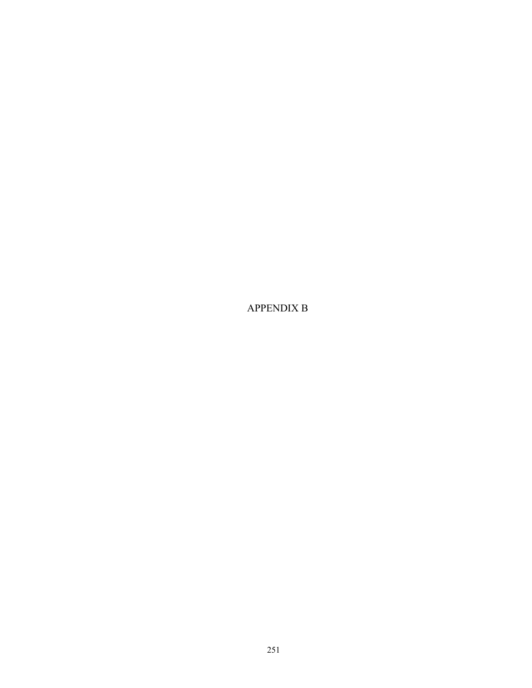APPENDIX B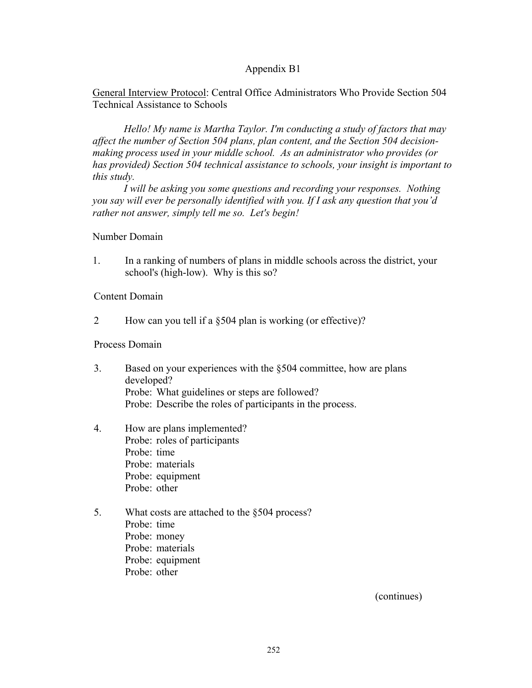General Interview Protocol: Central Office Administrators Who Provide Section 504 Technical Assistance to Schools

*Hello! My name is Martha Taylor. I'm conducting a study of factors that may affect the number of Section 504 plans, plan content, and the Section 504 decisionmaking process used in your middle school. As an administrator who provides (or has provided) Section 504 technical assistance to schools, your insight is important to this study.* 

*I will be asking you some questions and recording your responses. Nothing you say will ever be personally identified with you. If I ask any question that you'd rather not answer, simply tell me so. Let's begin!* 

#### Number Domain

1. In a ranking of numbers of plans in middle schools across the district, your school's (high-low). Why is this so?

Content Domain

2 How can you tell if a §504 plan is working (or effective)?

#### Process Domain

- 3. Based on your experiences with the §504 committee, how are plans developed? Probe: What guidelines or steps are followed? Probe: Describe the roles of participants in the process.
- 4. How are plans implemented? Probe: roles of participants Probe: time Probe: materials Probe: equipment Probe: other
- 5. What costs are attached to the §504 process? Probe: time Probe: money Probe: materials Probe: equipment Probe: other

(continues)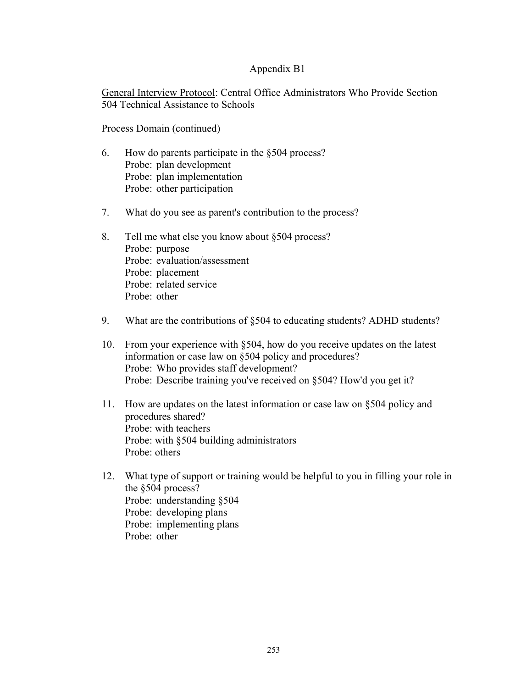General Interview Protocol: Central Office Administrators Who Provide Section 504 Technical Assistance to Schools

Process Domain (continued)

- 6. How do parents participate in the §504 process? Probe: plan development Probe: plan implementation Probe: other participation
- 7. What do you see as parent's contribution to the process?
- 8. Tell me what else you know about §504 process? Probe: purpose Probe: evaluation/assessment Probe: placement Probe: related service Probe: other
- 9. What are the contributions of §504 to educating students? ADHD students?
- 10. From your experience with §504, how do you receive updates on the latest information or case law on §504 policy and procedures? Probe: Who provides staff development? Probe: Describe training you've received on §504? How'd you get it?
- 11. How are updates on the latest information or case law on §504 policy and procedures shared? Probe: with teachers Probe: with §504 building administrators Probe: others
- 12. What type of support or training would be helpful to you in filling your role in the §504 process? Probe: understanding §504 Probe: developing plans Probe: implementing plans Probe: other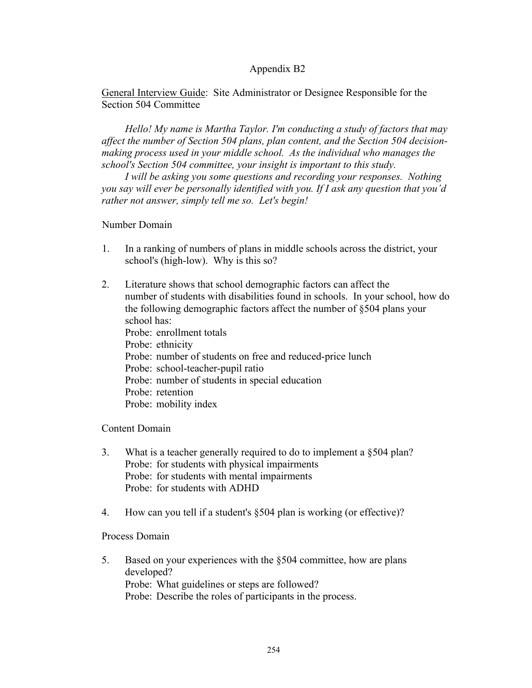General Interview Guide: Site Administrator or Designee Responsible for the Section 504 Committee

 *Hello! My name is Martha Taylor. I'm conducting a study of factors that may affect the number of Section 504 plans, plan content, and the Section 504 decisionmaking process used in your middle school. As the individual who manages the school's Section 504 committee, your insight is important to this study.* 

 *I will be asking you some questions and recording your responses. Nothing you say will ever be personally identified with you. If I ask any question that you'd rather not answer, simply tell me so. Let's begin!* 

#### Number Domain

- 1. In a ranking of numbers of plans in middle schools across the district, your school's (high-low). Why is this so?
- 2. Literature shows that school demographic factors can affect the number of students with disabilities found in schools. In your school, how do the following demographic factors affect the number of §504 plans your school has: Probe: enrollment totals Probe: ethnicity Probe: number of students on free and reduced-price lunch Probe: school-teacher-pupil ratio Probe: number of students in special education Probe: retention Probe: mobility index

Content Domain

- 3. What is a teacher generally required to do to implement a §504 plan? Probe: for students with physical impairments Probe: for students with mental impairments Probe: for students with ADHD
- 4. How can you tell if a student's §504 plan is working (or effective)?

Process Domain

5. Based on your experiences with the §504 committee, how are plans developed? Probe: What guidelines or steps are followed? Probe: Describe the roles of participants in the process.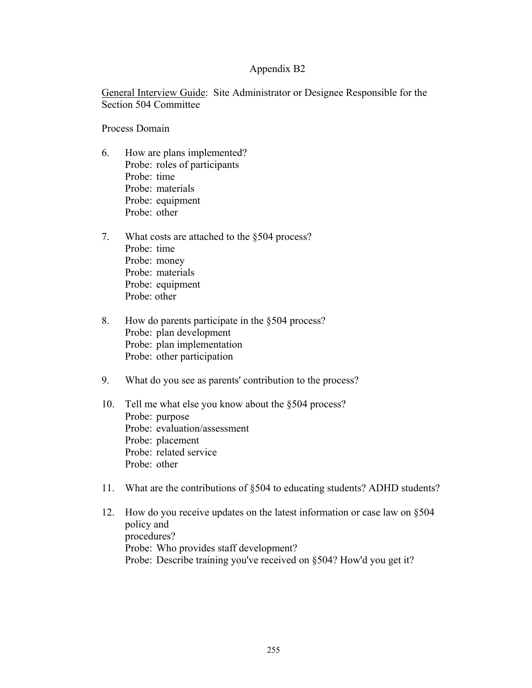General Interview Guide: Site Administrator or Designee Responsible for the Section 504 Committee

Process Domain

- 6. How are plans implemented? Probe: roles of participants Probe: time Probe: materials Probe: equipment Probe: other
- 7. What costs are attached to the §504 process? Probe: time Probe: money Probe: materials Probe: equipment Probe: other
- 8. How do parents participate in the §504 process? Probe: plan development Probe: plan implementation Probe: other participation
- 9. What do you see as parents' contribution to the process?
- 10. Tell me what else you know about the §504 process? Probe: purpose Probe: evaluation/assessment Probe: placement Probe: related service Probe: other
- 11. What are the contributions of §504 to educating students? ADHD students?
- 12. How do you receive updates on the latest information or case law on §504 policy and procedures? Probe: Who provides staff development? Probe: Describe training you've received on §504? How'd you get it?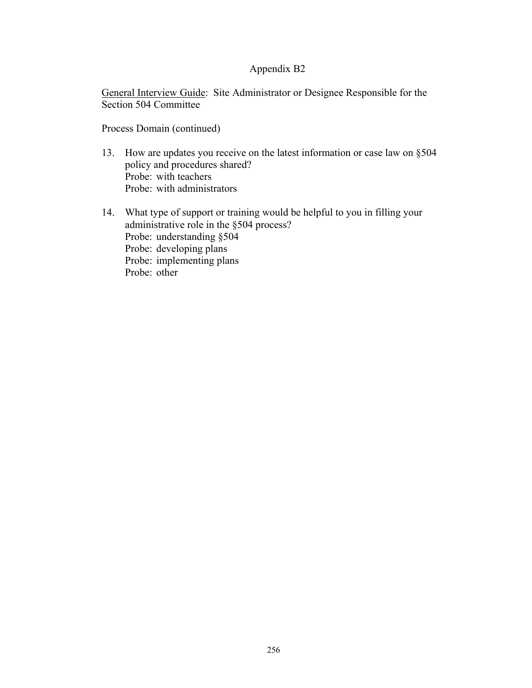General Interview Guide: Site Administrator or Designee Responsible for the Section 504 Committee

Process Domain (continued)

- 13. How are updates you receive on the latest information or case law on §504 policy and procedures shared? Probe: with teachers Probe: with administrators
- 14. What type of support or training would be helpful to you in filling your administrative role in the §504 process? Probe: understanding §504 Probe: developing plans Probe: implementing plans Probe: other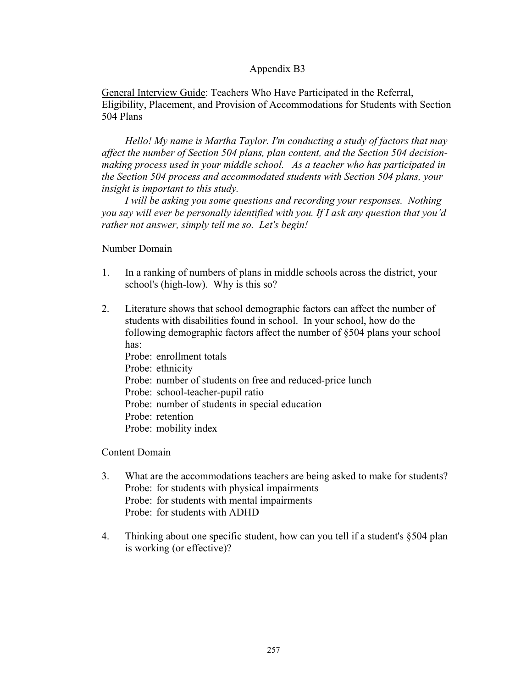General Interview Guide: Teachers Who Have Participated in the Referral, Eligibility, Placement, and Provision of Accommodations for Students with Section 504 Plans

*Hello! My name is Martha Taylor. I'm conducting a study of factors that may affect the number of Section 504 plans, plan content, and the Section 504 decisionmaking process used in your middle school. As a teacher who has participated in the Section 504 process and accommodated students with Section 504 plans, your insight is important to this study.* 

 *I will be asking you some questions and recording your responses. Nothing you say will ever be personally identified with you. If I ask any question that you'd rather not answer, simply tell me so. Let's begin!* 

#### Number Domain

- 1. In a ranking of numbers of plans in middle schools across the district, your school's (high-low). Why is this so?
- 2. Literature shows that school demographic factors can affect the number of students with disabilities found in school. In your school, how do the following demographic factors affect the number of §504 plans your school has: Probe: enrollment totals Probe: ethnicity Probe: number of students on free and reduced-price lunch Probe: school-teacher-pupil ratio Probe: number of students in special education Probe: retention Probe: mobility index

Content Domain

- 3. What are the accommodations teachers are being asked to make for students? Probe: for students with physical impairments Probe: for students with mental impairments Probe: for students with ADHD
- 4. Thinking about one specific student, how can you tell if a student's §504 plan is working (or effective)?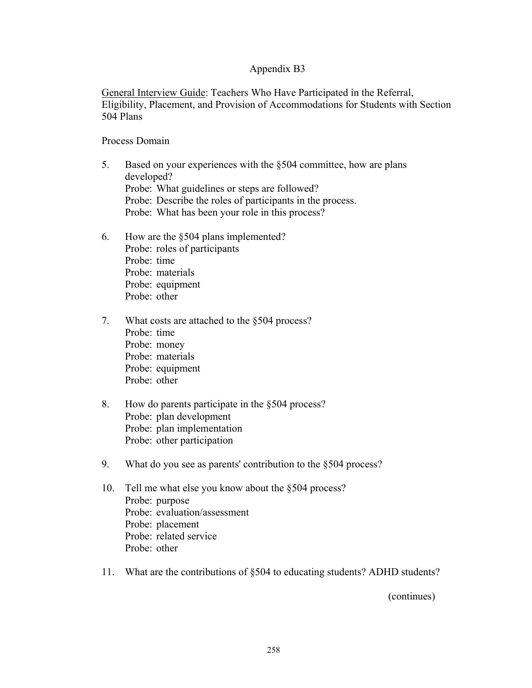General Interview Guide: Teachers Who Have Participated in the Referral, Eligibility, Placement, and Provision of Accommodations for Students with Section 504 Plans

#### Process Domain

- 5. Based on your experiences with the §504 committee, how are plans developed? Probe: What guidelines or steps are followed? Probe: Describe the roles of participants in the process. Probe: What has been your role in this process?
- 6. How are the §504 plans implemented? Probe: roles of participants Probe: time Probe: materials Probe: equipment Probe: other
- 7. What costs are attached to the §504 process? Probe: time Probe: money Probe: materials Probe: equipment Probe: other
- 8. How do parents participate in the §504 process? Probe: plan development Probe: plan implementation Probe: other participation
- 9. What do you see as parents' contribution to the §504 process?
- 10. Tell me what else you know about the §504 process? Probe: purpose Probe: evaluation/assessment Probe: placement Probe: related service Probe: other
- 11. What are the contributions of §504 to educating students? ADHD students?

(continues)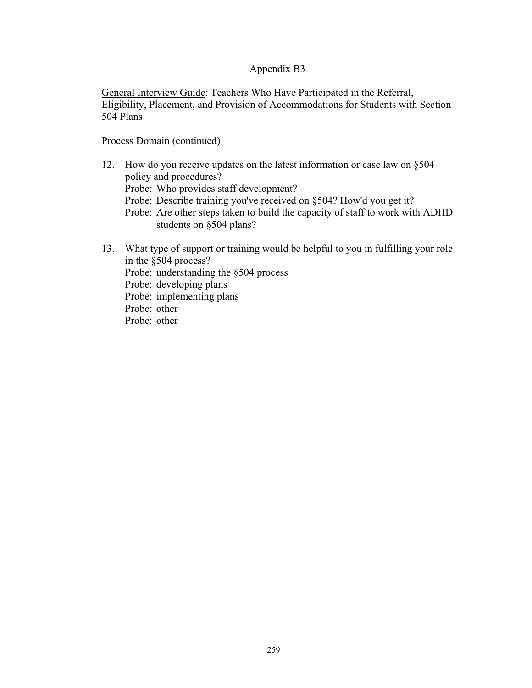General Interview Guide: Teachers Who Have Participated in the Referral, Eligibility, Placement, and Provision of Accommodations for Students with Section 504 Plans

Process Domain (continued)

- 12. How do you receive updates on the latest information or case law on §504 policy and procedures?
	- Probe: Who provides staff development?
	- Probe: Describe training you've received on §504? How'd you get it?
	- Probe: Are other steps taken to build the capacity of staff to work with ADHD students on §504 plans?
- 13. What type of support or training would be helpful to you in fulfilling your role in the §504 process?
	- Probe: understanding the §504 process

Probe: developing plans

Probe: implementing plans

Probe: other

Probe: other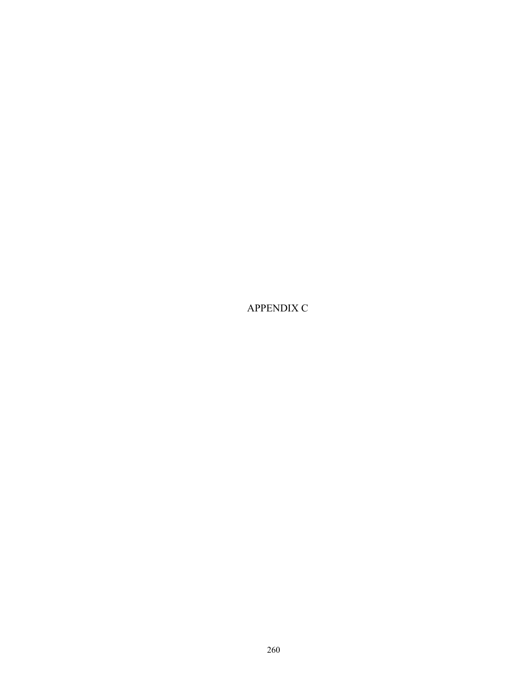APPENDIX C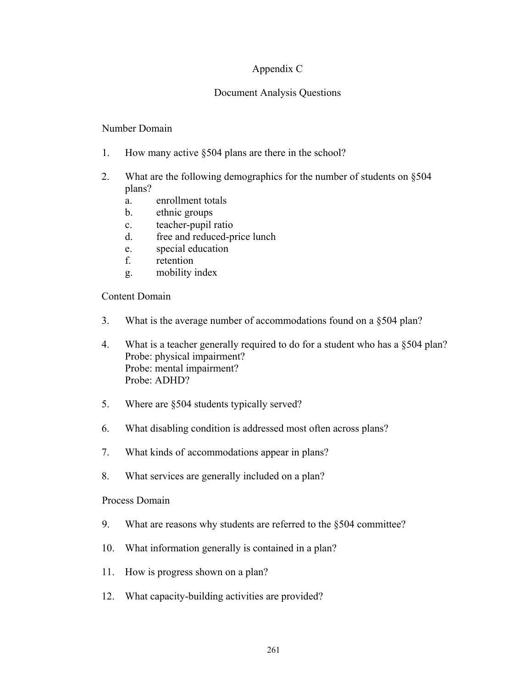## Appendix C

## Document Analysis Questions

## Number Domain

- 1. How many active §504 plans are there in the school?
- 2. What are the following demographics for the number of students on §504 plans?
	- a. enrollment totals
	- b. ethnic groups
	- c. teacher-pupil ratio
	- d. free and reduced-price lunch
	- e. special education
	- f. retention
	- g. mobility index

## Content Domain

- 3. What is the average number of accommodations found on a §504 plan?
- 4. What is a teacher generally required to do for a student who has a §504 plan? Probe: physical impairment? Probe: mental impairment? Probe: ADHD?
- 5. Where are §504 students typically served?
- 6. What disabling condition is addressed most often across plans?
- 7. What kinds of accommodations appear in plans?
- 8. What services are generally included on a plan?

## Process Domain

- 9. What are reasons why students are referred to the §504 committee?
- 10. What information generally is contained in a plan?
- 11. How is progress shown on a plan?
- 12. What capacity-building activities are provided?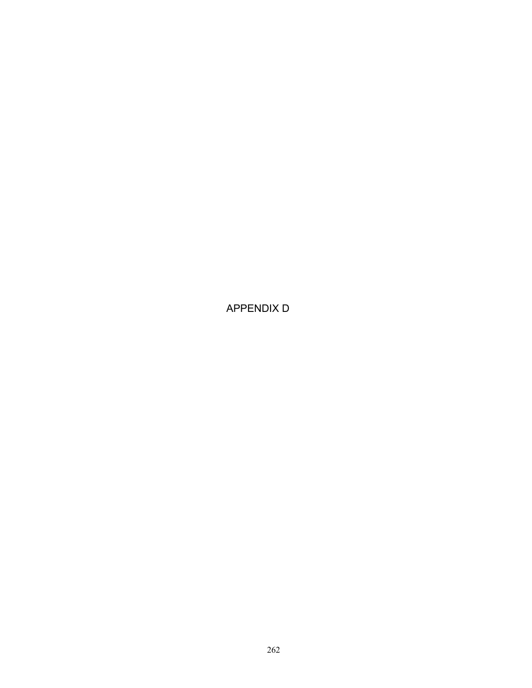APPENDIX D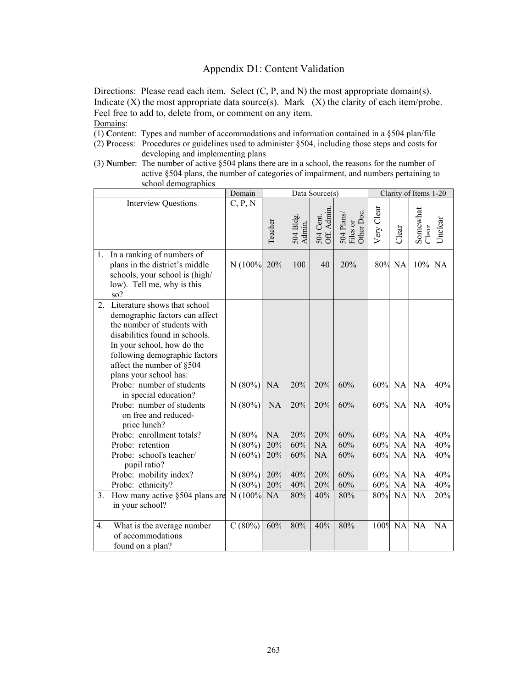Directions: Please read each item. Select (C, P, and N) the most appropriate domain(s). Indicate  $(X)$  the most appropriate data source $(s)$ . Mark  $(X)$  the clarity of each item/probe. Feel free to add to, delete from, or comment on any item. Domains:

- (1) **C**ontent: Types and number of accommodations and information contained in a §504 plan/file
- (2) **P**rocess: Procedures or guidelines used to administer §504, including those steps and costs for developing and implementing plans
- (3) **N**umber: The number of active §504 plans there are in a school, the reasons for the number of active §504 plans, the number of categories of impairment, and numbers pertaining to school demographics

|                |                                                                                                                                        | Domain     |           |                     | Data Source(s)           |                                      | Clarity of Items 1-20 |           |                      |           |
|----------------|----------------------------------------------------------------------------------------------------------------------------------------|------------|-----------|---------------------|--------------------------|--------------------------------------|-----------------------|-----------|----------------------|-----------|
|                | <b>Interview Questions</b>                                                                                                             | C, P, N    |           |                     |                          |                                      |                       |           |                      |           |
|                |                                                                                                                                        |            | Teacher   | 504 Bldg.<br>Admin. | 504 Cent.<br>Off. Admin. | 504 Plans/<br>Files or<br>Other Doc. | Very Clear            | Clear     | Somewhat<br>$C$ lear | Unclear   |
|                |                                                                                                                                        |            |           |                     |                          |                                      |                       |           |                      |           |
|                | 1. In a ranking of numbers of<br>plans in the district's middle<br>schools, your school is (high/<br>low). Tell me, why is this<br>so? | N (100%    | 20%       | 100                 | 40                       | 20%                                  | 80%                   | <b>NA</b> | 10%                  | <b>NA</b> |
| 2 <sub>1</sub> | Literature shows that school                                                                                                           |            |           |                     |                          |                                      |                       |           |                      |           |
|                | demographic factors can affect                                                                                                         |            |           |                     |                          |                                      |                       |           |                      |           |
|                | the number of students with                                                                                                            |            |           |                     |                          |                                      |                       |           |                      |           |
|                | disabilities found in schools.                                                                                                         |            |           |                     |                          |                                      |                       |           |                      |           |
|                | In your school, how do the                                                                                                             |            |           |                     |                          |                                      |                       |           |                      |           |
|                | following demographic factors<br>affect the number of §504                                                                             |            |           |                     |                          |                                      |                       |           |                      |           |
|                | plans your school has:                                                                                                                 |            |           |                     |                          |                                      |                       |           |                      |           |
|                | Probe: number of students                                                                                                              | N(80%)     | <b>NA</b> | 20%                 | 20%                      | 60%                                  |                       | 60% NA    | <b>NA</b>            | 40%       |
|                | in special education?                                                                                                                  |            |           |                     |                          |                                      |                       |           |                      |           |
|                | Probe: number of students                                                                                                              | N(80%)     | <b>NA</b> | 20%                 | 20%                      | 60%                                  |                       | 60% NA    | <b>NA</b>            | 40%       |
|                | on free and reduced-                                                                                                                   |            |           |                     |                          |                                      |                       |           |                      |           |
|                | price lunch?                                                                                                                           |            |           |                     |                          |                                      |                       |           |                      |           |
|                | Probe: enrollment totals?                                                                                                              | N(80%      | NA        | 20%                 | 20%                      | 60%                                  |                       | 60% NA    | <b>NA</b>            | 40%       |
|                | Probe: retention                                                                                                                       | N(80%)     | 20%       | 60%                 | NA                       | 60%                                  | 60%                   | <b>NA</b> | <b>NA</b>            | 40%       |
|                | Probe: school's teacher/<br>pupil ratio?                                                                                               | N(60%)     | 20%       | 60%                 | <b>NA</b>                | 60%                                  | 60% NA                |           | <b>NA</b>            | 40%       |
|                | Probe: mobility index?                                                                                                                 | N(80%)     | 20%       | 40%                 | 20%                      | 60%                                  |                       | 60% NA    | <b>NA</b>            | 40%       |
|                | Probe: ethnicity?                                                                                                                      | N(80%)     | 20%       | 40%                 | 20%                      | 60%                                  |                       | 60% NA    | <b>NA</b>            | 40%       |
| 3.             | How many active §504 plans are<br>in your school?                                                                                      | N (100% NA |           | 80%                 | 40%                      | $80\%$                               | 80% NA                |           | <b>NA</b>            | 20%       |
|                |                                                                                                                                        |            |           |                     |                          |                                      |                       |           |                      |           |
| 4.             | What is the average number                                                                                                             | C(80%)     | 60%       | 80%                 | 40%                      | 80%                                  | 100%                  | <b>NA</b> | <b>NA</b>            | NA        |
|                | of accommodations                                                                                                                      |            |           |                     |                          |                                      |                       |           |                      |           |
|                | found on a plan?                                                                                                                       |            |           |                     |                          |                                      |                       |           |                      |           |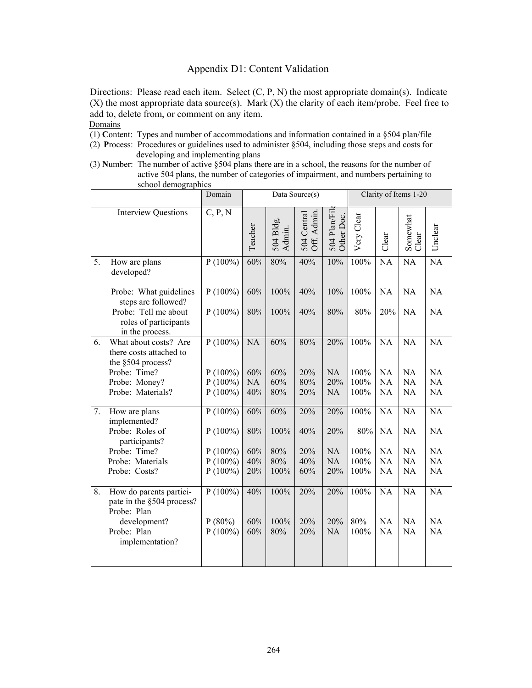Directions: Please read each item. Select (C, P, N) the most appropriate domain(s). Indicate  $(X)$  the most appropriate data source(s). Mark  $(X)$  the clarity of each item/probe. Feel free to add to, delete from, or comment on any item.

- (1) **C**ontent: Types and number of accommodations and information contained in a §504 plan/file
- (2) **P**rocess: Procedures or guidelines used to administer §504, including those steps and costs for developing and implementing plans
- (3) **N**umber: The number of active §504 plans there are in a school, the reasons for the number of active 504 plans, the number of categories of impairment, and numbers pertaining to school demographics

|    | $\frac{1}{2}$                                                         | Domain                  |            |                     | Data Source(s)                |                            |             |                 | Clarity of Items 1-20 |                 |
|----|-----------------------------------------------------------------------|-------------------------|------------|---------------------|-------------------------------|----------------------------|-------------|-----------------|-----------------------|-----------------|
|    | <b>Interview Questions</b>                                            | C, P, N                 | Teacher    | 504 Bldg.<br>Admin. | Admin.<br>504 Central<br>Off. | 504 Plan/Fil<br>Other Doc. | Very Clear  | Clear           | Somewhat<br>Clear     | Unclear         |
| 5. | How are plans<br>developed?                                           | $P(100\%)$              | 60%        | 80%                 | 40%                           | 10%                        | 100%        | <b>NA</b>       | <b>NA</b>             | $\overline{NA}$ |
|    | Probe: What guidelines<br>steps are followed?                         | $P(100\%)$              | 60%        | 100%                | 40%                           | 10%                        | 100%        | <b>NA</b>       | <b>NA</b>             | NA              |
|    | Probe: Tell me about<br>roles of participants<br>in the process.      | $P(100\%)$              | 80%        | 100%                | 40%                           | 80%                        | 80%         | 20%             | NA                    | NA              |
| 6. | What about costs? Are<br>there costs attached to<br>the §504 process? | $P(100\%)$              | NA         | 60%                 | 80%                           | 20%                        | 100%        | <b>NA</b>       | NA                    | NA              |
|    | Probe: Time?                                                          | $P(100\%)$              | 60%        | 60%                 | 20%                           | <b>NA</b>                  | 100%        | <b>NA</b>       | <b>NA</b>             | NA              |
|    | Probe: Money?                                                         | $P(100\%)$              | <b>NA</b>  | 60%                 | 80%                           | 20%                        | 100%        | <b>NA</b>       | NA                    | <b>NA</b>       |
|    | Probe: Materials?                                                     | $P(100\%)$              | 40%        | 80%                 | 20%                           | NA                         | 100%        | NA              | NA                    | NA              |
| 7. | How are plans<br>implemented?                                         | $P(100\%)$              | 60%        | 60%                 | 20%                           | 20%                        | $100\%$     | <b>NA</b>       | <b>NA</b>             | <b>NA</b>       |
|    | Probe: Roles of<br>participants?                                      | $P(100\%)$              | $80\%$     | 100%                | 40%                           | 20%                        | 80%         | NA              | <b>NA</b>             | NA              |
|    | Probe: Time?                                                          | $P(100\%)$              | 60%        | 80%                 | 20%                           | NA                         | 100%        | NA              | NA                    | NA              |
|    | Probe: Materials                                                      | $P(100\%)$              | 40%        | 80%                 | 40%                           | <b>NA</b>                  | 100%        | NA              | NA                    | NA              |
|    | Probe: Costs?                                                         | $P(100\%)$              | 20%        | 100%                | 60%                           | 20%                        | 100%        | NA              | NA                    | NA              |
| 8. | How do parents partici-<br>pate in the §504 process?<br>Probe: Plan   | $P(100\%)$              | 40%        | 100%                | 20%                           | 20%                        | 100%        | <b>NA</b>       | <b>NA</b>             | <b>NA</b>       |
|    | development?<br>Probe: Plan<br>implementation?                        | $P(80\%)$<br>$P(100\%)$ | 60%<br>60% | 100%<br>80%         | 20%<br>20%                    | 20%<br>NA                  | 80%<br>100% | <b>NA</b><br>NA | <b>NA</b><br>NA       | NA<br>NA        |
|    |                                                                       |                         |            |                     |                               |                            |             |                 |                       |                 |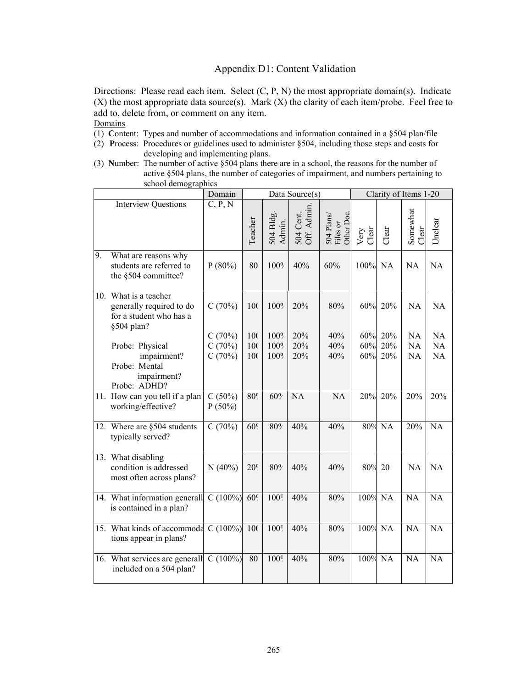Directions: Please read each item. Select (C, P, N) the most appropriate domain(s). Indicate  $(X)$  the most appropriate data source(s). Mark  $(X)$  the clarity of each item/probe. Feel free to add to, delete from, or comment on any item.

- (1) **C**ontent: Types and number of accommodations and information contained in a §504 plan/file
- (2) **P**rocess: Procedures or guidelines used to administer §504, including those steps and costs for developing and implementing plans.
- (3) **N**umber: The number of active §504 plans there are in a school, the reasons for the number of active §504 plans, the number of categories of impairment, and numbers pertaining to school demographics

|    |                                                                                            | Domain              |                 |                     | Data Source(s)           |                                      |               | Clarity of Items 1-20 |                   |                 |
|----|--------------------------------------------------------------------------------------------|---------------------|-----------------|---------------------|--------------------------|--------------------------------------|---------------|-----------------------|-------------------|-----------------|
|    | <b>Interview Questions</b>                                                                 | C, P, N             | Teacher         | 504 Bldg.<br>Admin. | 504 Cent.<br>Off. Admin. | 504 Plans/<br>Files or<br>Other Doc. | Very<br>Clear | Clear                 | Somewhat<br>Clear | Unclear         |
| 9. | What are reasons why<br>students are referred to<br>the §504 committee?                    | $P(80\%)$           | 80              | 100%                | 40%                      | 60%                                  | 100% NA       |                       | NA                | NA              |
|    | 10. What is a teacher<br>generally required to do<br>for a student who has a<br>§504 plan? | C(70%)              | 100             | 100%                | 20%                      | 80%                                  | 60%           | 20%                   | <b>NA</b>         | <b>NA</b>       |
|    | Probe: Physical                                                                            | C(70%)<br>C(70%)    | 100<br>100      | 100%<br>100%        | 20%<br>20%               | 40%<br>40%                           | 60%<br>60%    | 20%<br>20%            | NA<br><b>NA</b>   | <b>NA</b><br>NA |
|    | impairment?<br>Probe: Mental<br>impairment?<br>Probe: ADHD?                                | C(70%)              | 100             | 100%                | 20%                      | 40%                                  | 60%           | 20%                   | NA                | NA              |
|    | 11. How can you tell if a plan<br>working/effective?                                       | C(50%)<br>$P(50\%)$ | 80 <sup>c</sup> | 60%                 | NA                       | NA                                   | 20%           | 20%                   | 20%               | 20%             |
|    | 12. Where are §504 students<br>typically served?                                           | C(70%)              | 60 <sup>c</sup> | 80%                 | 40%                      | 40%                                  | 80%           | NA                    | 20%               | <b>NA</b>       |
|    | 13. What disabling<br>condition is addressed<br>most often across plans?                   | $N(40\%)$           | 20 <sup>c</sup> | 80%                 | 40%                      | 40%                                  | 80%           | 20                    | <b>NA</b>         | NA              |
|    | 14. What information generall<br>is contained in a plan?                                   | $C(100\%)$          | 60 <sup>c</sup> | 100 <sup>o</sup>    | 40%                      | 80%                                  | 100%          | NA                    | NA                | NA              |
|    | 15. What kinds of accommoda<br>tions appear in plans?                                      | $C(100\%)$ 100      |                 | 100 <sup>o</sup>    | 40%                      | 80%                                  | 100% NA       |                       | NA                | NA              |
|    | 16. What services are generall<br>included on a 504 plan?                                  | C(100%)             | 80              | 100 <sup>o</sup>    | 40%                      | 80%                                  | 100%          | NA                    | <b>NA</b>         | $\overline{NA}$ |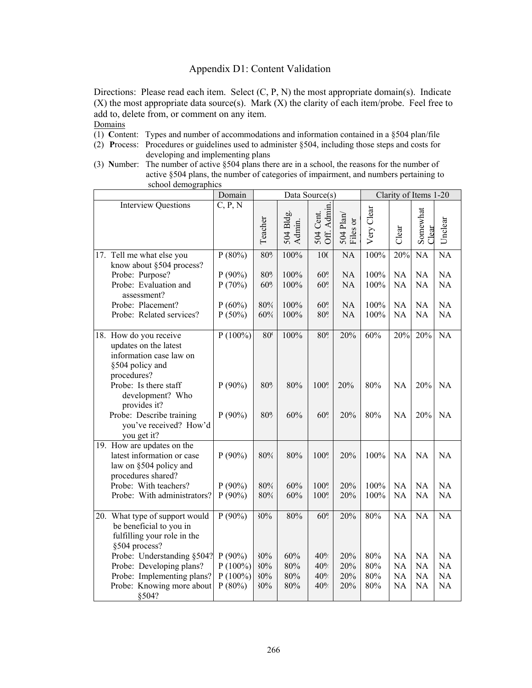Directions: Please read each item. Select (C, P, N) the most appropriate domain(s). Indicate  $(X)$  the most appropriate data source(s). Mark  $(X)$  the clarity of each item/probe. Feel free to add to, delete from, or comment on any item.

- (1) **C**ontent: Types and number of accommodations and information contained in a §504 plan/file
- (2) **P**rocess: Procedures or guidelines used to administer §504, including those steps and costs for developing and implementing plans
- (3) **N**umber: The number of active §504 plans there are in a school, the reasons for the number of active §504 plans, the number of categories of impairment, and numbers pertaining to school demographics

|                                                                                                              | Domain                  | Clarity of Items 1-20<br>Data Source(s) |                                            |                                      |                        |              |                        |                        |                        |
|--------------------------------------------------------------------------------------------------------------|-------------------------|-----------------------------------------|--------------------------------------------|--------------------------------------|------------------------|--------------|------------------------|------------------------|------------------------|
| <b>Interview Questions</b>                                                                                   | C, P, N                 | Teacher                                 | 504 Bldg.<br>Admin.                        | <b>Admin</b><br>Cent.<br>504<br>Off. | 504 Plan/<br>Files or  | Very Clear   | Clear                  | Somewhat<br>Clear      | Unclear                |
| 17. Tell me what else you                                                                                    | $P(80\%)$               | 80%                                     | 100%                                       | 10 <sub>C</sub>                      | $\overline{NA}$        | 100%         | 20%                    | <b>NA</b>              | $\overline{NA}$        |
| know about §504 process?<br>Probe: Purpose?<br>Probe: Evaluation and<br>assessment?                          | $P(90\%)$<br>P(70%)     | 80%<br>60%                              | 100%<br>100%                               | 60%<br>60%                           | <b>NA</b><br>NA        | 100%<br>100% | <b>NA</b><br>NA        | <b>NA</b><br>NA        | <b>NA</b><br>NA        |
| Probe: Placement?<br>Probe: Related services?                                                                | $P(60\%)$<br>$P(50\%)$  | 80%<br>60%                              | 100%<br>100%                               | 60 <sup>o</sup><br>80%               | <b>NA</b><br><b>NA</b> | 100%<br>100% | <b>NA</b><br><b>NA</b> | <b>NA</b><br><b>NA</b> | NA<br><b>NA</b>        |
|                                                                                                              |                         |                                         |                                            |                                      |                        |              |                        |                        |                        |
| 18. How do you receive<br>updates on the latest<br>information case law on<br>§504 policy and<br>procedures? | $P(100\%)$              | 80 <sup>°</sup>                         | 100%                                       | 80%                                  | 20%                    | 60%          | 20%                    | 20%                    | $\overline{NA}$        |
| Probe: Is there staff<br>development? Who<br>provides it?                                                    | $P(90\%)$               | 80%                                     | 80%                                        | 100%                                 | 20%                    | 80%          | <b>NA</b>              | 20%                    | <b>NA</b>              |
| Probe: Describe training<br>you've received? How'd<br>you get it?                                            | $P(90\%)$               | 80%                                     | 60%<br>60 <sup>o</sup><br>20%<br>80%<br>NA |                                      | 20%                    | NA           |                        |                        |                        |
| 19. How are updates on the<br>latest information or case<br>law on §504 policy and<br>procedures shared?     | $P(90\%)$               | 80%                                     | 80%                                        | 100%                                 | 20%                    | 100%         | NA                     | NA                     | NA                     |
| Probe: With teachers?<br>Probe: With administrators?                                                         | $P(90\%)$<br>$P(90\%)$  | 80%<br>80%                              | 60%<br>60%                                 | 100%<br>100%                         | 20%<br>20%             | 100%<br>100% | NA<br>NA               | <b>NA</b><br><b>NA</b> | <b>NA</b><br><b>NA</b> |
| 20. What type of support would<br>be beneficial to you in<br>fulfilling your role in the<br>§504 process?    | $P(90\%)$               | 30%                                     | 80%                                        | $60\overline{9}$                     | 20%                    | 80%          | <b>NA</b>              | <b>NA</b>              | <b>NA</b>              |
| Probe: Understanding §504?<br>Probe: Developing plans?                                                       | $P(90\%)$<br>$P(100\%)$ | 30%<br>30%                              | 60%<br>80%                                 | 40%<br>40%                           | 20%<br>20%             | 80%<br>80%   | <b>NA</b><br>NA        | <b>NA</b><br>NA        | NA<br>NA               |
| Probe: Implementing plans?                                                                                   | $P(100\%)$              | 30%                                     | 80%                                        | 40%                                  | 20%                    | 80%          | <b>NA</b>              | <b>NA</b>              | <b>NA</b>              |
| Probe: Knowing more about<br>§504?                                                                           | $P(80\%)$               | 30%                                     | 80%                                        | 40%                                  | 20%                    | 80%          | <b>NA</b>              | <b>NA</b>              | NA                     |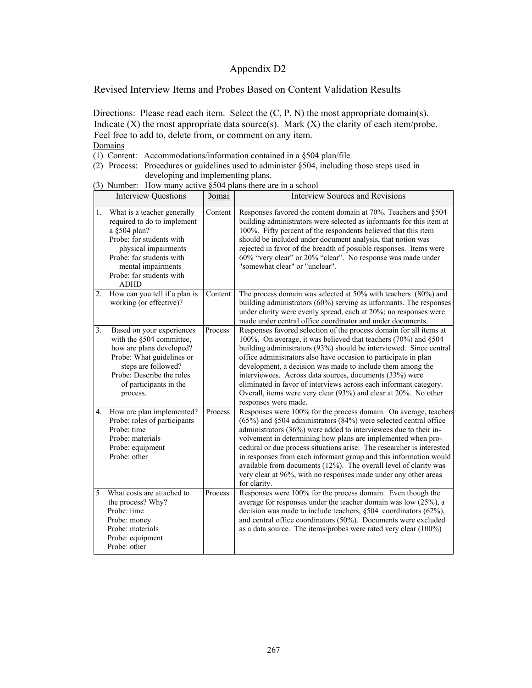Revised Interview Items and Probes Based on Content Validation Results

Directions: Please read each item. Select the  $(C, P, N)$  the most appropriate domain(s). Indicate  $(X)$  the most appropriate data source(s). Mark  $(X)$  the clarity of each item/probe. Feel free to add to, delete from, or comment on any item. **Domains** 

- (1) Content: Accommodations/information contained in a §504 plan/file
- (2) Process: Procedures or guidelines used to administer §504, including those steps used in developing and implementing plans.
- (3) Number: How many active §504 plans there are in a school

|                  | <b>Interview Questions</b>                                                                                                                                                                                                  | <b>Domai</b> | <b>Interview Sources and Revisions</b>                                                                                                                                                                                                                                                                                                                                                                                                                                                                                                                                          |
|------------------|-----------------------------------------------------------------------------------------------------------------------------------------------------------------------------------------------------------------------------|--------------|---------------------------------------------------------------------------------------------------------------------------------------------------------------------------------------------------------------------------------------------------------------------------------------------------------------------------------------------------------------------------------------------------------------------------------------------------------------------------------------------------------------------------------------------------------------------------------|
| 1.               | What is a teacher generally<br>required to do to implement<br>a §504 plan?<br>Probe: for students with<br>physical impairments<br>Probe: for students with<br>mental impairments<br>Probe: for students with<br><b>ADHD</b> | Content      | Responses favored the content domain at 70%. Teachers and §504<br>building administrators were selected as informants for this item at<br>100%. Fifty percent of the respondents believed that this item<br>should be included under document analysis, that notion was<br>rejected in favor of the breadth of possible responses. Items were<br>60% "very clear" or 20% "clear". No response was made under<br>"somewhat clear" or "unclear".                                                                                                                                  |
| $\overline{2}$ . | How can you tell if a plan is<br>working (or effective)?                                                                                                                                                                    | Content      | The process domain was selected at $50\%$ with teachers $(80\%)$ and<br>building administrators $(60\%)$ serving as informants. The responses<br>under clarity were evenly spread, each at 20%; no responses were<br>made under central office coordinator and under documents.                                                                                                                                                                                                                                                                                                 |
| 3 <sub>1</sub>   | Based on your experiences<br>with the §504 committee,<br>how are plans developed?<br>Probe: What guidelines or<br>steps are followed?<br>Probe: Describe the roles<br>of participants in the<br>process.                    | Process      | Responses favored selection of the process domain for all items at<br>100%. On average, it was believed that teachers (70%) and §504<br>building administrators (93%) should be interviewed. Since central<br>office administrators also have occasion to participate in plan<br>development, a decision was made to include them among the<br>interviewees. Across data sources, documents (33%) were<br>eliminated in favor of interviews across each informant category.<br>Overall, items were very clear (93%) and clear at 20%. No other<br>responses were made.          |
| 4.               | How are plan implemented?<br>Probe: roles of participants<br>Probe: time<br>Probe: materials<br>Probe: equipment<br>Probe: other                                                                                            | Process      | Responses were 100% for the process domain. On average, teachers<br>$(65%)$ and §504 administrators (84%) were selected central office<br>administrators (36%) were added to interviewees due to their in-<br>volvement in determining how plans are implemented when pro-<br>cedural or due process situations arise. The researcher is interested<br>in responses from each informant group and this information would<br>available from documents (12%). The overall level of clarity was<br>very clear at 96%, with no responses made under any other areas<br>for clarity. |
| 5                | What costs are attached to<br>the process? Why?<br>Probe: time<br>Probe: money<br>Probe: materials<br>Probe: equipment<br>Probe: other                                                                                      | Process      | Responses were 100% for the process domain. Even though the<br>average for responses under the teacher domain was low $(25\%)$ , a<br>decision was made to include teachers, $§504$ coordinators (62%),<br>and central office coordinators (50%). Documents were excluded<br>as a data source. The items/probes were rated very clear (100%)                                                                                                                                                                                                                                    |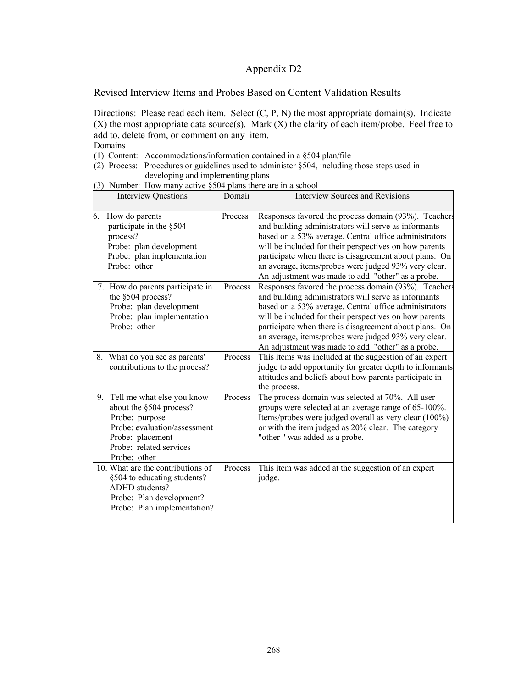Revised Interview Items and Probes Based on Content Validation Results

Directions: Please read each item. Select (C, P, N) the most appropriate domain(s). Indicate  $(X)$  the most appropriate data source(s). Mark  $(X)$  the clarity of each item/probe. Feel free to add to, delete from, or comment on any item. Domains

- (1) Content: Accommodations/information contained in a §504 plan/file
- (2) Process: Procedures or guidelines used to administer §504, including those steps used in developing and implementing plans
- (3) Number: How many active §504 plans there are in a school

|    | <b>Interview Questions</b>                                                                                                                                             | Domain  | <b>Interview Sources and Revisions</b>                                                                                                                                                                                                                                                                                                                                                                 |
|----|------------------------------------------------------------------------------------------------------------------------------------------------------------------------|---------|--------------------------------------------------------------------------------------------------------------------------------------------------------------------------------------------------------------------------------------------------------------------------------------------------------------------------------------------------------------------------------------------------------|
| 6. | How do parents<br>participate in the §504<br>process?<br>Probe: plan development<br>Probe: plan implementation<br>Probe: other                                         | Process | Responses favored the process domain (93%). Teachers<br>and building administrators will serve as informants<br>based on a 53% average. Central office administrators<br>will be included for their perspectives on how parents<br>participate when there is disagreement about plans. On<br>an average, items/probes were judged 93% very clear.<br>An adjustment was made to add "other" as a probe. |
|    | 7. How do parents participate in<br>the §504 process?<br>Probe: plan development<br>Probe: plan implementation<br>Probe: other                                         | Process | Responses favored the process domain (93%). Teachers<br>and building administrators will serve as informants<br>based on a 53% average. Central office administrators<br>will be included for their perspectives on how parents<br>participate when there is disagreement about plans. On<br>an average, items/probes were judged 93% very clear.<br>An adjustment was made to add "other" as a probe. |
|    | 8. What do you see as parents'<br>contributions to the process?                                                                                                        | Process | This items was included at the suggestion of an expert<br>judge to add opportunity for greater depth to informants<br>attitudes and beliefs about how parents participate in<br>the process.                                                                                                                                                                                                           |
| 9. | Tell me what else you know<br>about the §504 process?<br>Probe: purpose<br>Probe: evaluation/assessment<br>Probe: placement<br>Probe: related services<br>Probe: other | Process | The process domain was selected at 70%. All user<br>groups were selected at an average range of 65-100%.<br>Items/probes were judged overall as very clear (100%)<br>or with the item judged as 20% clear. The category<br>"other" was added as a probe.                                                                                                                                               |
|    | 10. What are the contributions of<br>§504 to educating students?<br>ADHD students?<br>Probe: Plan development?<br>Probe: Plan implementation?                          | Process | This item was added at the suggestion of an expert<br>judge.                                                                                                                                                                                                                                                                                                                                           |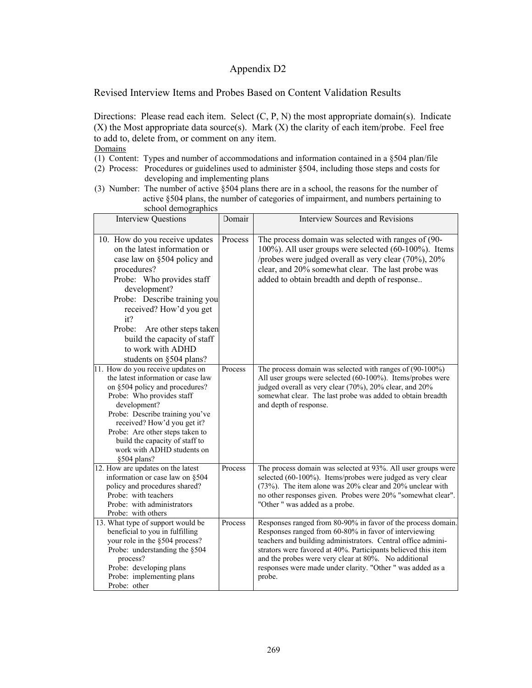Revised Interview Items and Probes Based on Content Validation Results

Directions: Please read each item. Select  $(C, P, N)$  the most appropriate domain(s). Indicate  $(X)$  the Most appropriate data source(s). Mark  $(X)$  the clarity of each item/probe. Feel free to add to, delete from, or comment on any item.

- (1) Content: Types and number of accommodations and information contained in a §504 plan/file
- (2) Process: Procedures or guidelines used to administer §504, including those steps and costs for developing and implementing plans
- (3) Number: The number of active §504 plans there are in a school, the reasons for the number of active §504 plans, the number of categories of impairment, and numbers pertaining to school demographics

| <b>Interview Questions</b>                                                                                                                                                                                                                                                                                                                    | Domair  | <b>Interview Sources and Revisions</b>                                                                                                                                                                                                                                                                                                                                                 |
|-----------------------------------------------------------------------------------------------------------------------------------------------------------------------------------------------------------------------------------------------------------------------------------------------------------------------------------------------|---------|----------------------------------------------------------------------------------------------------------------------------------------------------------------------------------------------------------------------------------------------------------------------------------------------------------------------------------------------------------------------------------------|
| 10. How do you receive updates<br>on the latest information or<br>case law on §504 policy and<br>procedures?<br>Probe: Who provides staff<br>development?<br>Probe: Describe training you<br>received? How'd you get<br>it?<br>Probe:<br>Are other steps taken<br>build the capacity of staff<br>to work with ADHD<br>students on §504 plans? | Process | The process domain was selected with ranges of (90-<br>100%). All user groups were selected (60-100%). Items<br>/probes were judged overall as very clear (70%), 20%<br>clear, and 20% somewhat clear. The last probe was<br>added to obtain breadth and depth of response                                                                                                             |
| 11. How do you receive updates on<br>the latest information or case law<br>on §504 policy and procedures?<br>Probe: Who provides staff<br>development?<br>Probe: Describe training you've<br>received? How'd you get it?<br>Probe: Are other steps taken to<br>build the capacity of staff to<br>work with ADHD students on<br>§504 plans?    | Process | The process domain was selected with ranges of $(90-100\%)$<br>All user groups were selected (60-100%). Items/probes were<br>judged overall as very clear (70%), 20% clear, and 20%<br>somewhat clear. The last probe was added to obtain breadth<br>and depth of response.                                                                                                            |
| 12. How are updates on the latest<br>information or case law on §504<br>policy and procedures shared?<br>Probe: with teachers<br>Probe: with administrators<br>Probe: with others                                                                                                                                                             | Process | The process domain was selected at 93%. All user groups were<br>selected (60-100%). Items/probes were judged as very clear<br>(73%). The item alone was 20% clear and 20% unclear with<br>no other responses given. Probes were 20% "somewhat clear".<br>"Other " was added as a probe.                                                                                                |
| 13. What type of support would be<br>beneficial to you in fulfilling<br>your role in the §504 process?<br>Probe: understanding the §504<br>process?<br>Probe: developing plans<br>Probe: implementing plans<br>Probe: other                                                                                                                   | Process | Responses ranged from 80-90% in favor of the process domain.<br>Responses ranged from 60-80% in favor of interviewing<br>teachers and building administrators. Central office admini-<br>strators were favored at 40%. Participants believed this item<br>and the probes were very clear at 80%. No additional<br>responses were made under clarity. "Other " was added as a<br>probe. |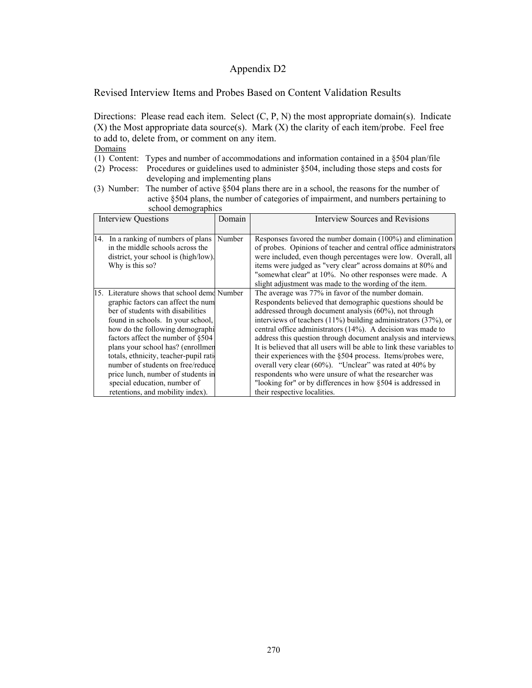Revised Interview Items and Probes Based on Content Validation Results

Directions: Please read each item. Select  $(C, P, N)$  the most appropriate domain(s). Indicate  $(X)$  the Most appropriate data source(s). Mark  $(X)$  the clarity of each item/probe. Feel free to add to, delete from, or comment on any item.

- (1) Content: Types and number of accommodations and information contained in a §504 plan/file
- (2) Process: Procedures or guidelines used to administer §504, including those steps and costs for developing and implementing plans
- (3) Number: The number of active §504 plans there are in a school, the reasons for the number of active §504 plans, the number of categories of impairment, and numbers pertaining to school demographics

| <b>Interview Questions</b> |                                                                                                                                                                                                                                                                                                                                                                                                                                                                   | Domain | Interview Sources and Revisions                                                                                                                                                                                                                                                                                                                                                                                                                                                                                                                                                                                                                                                                                                                     |
|----------------------------|-------------------------------------------------------------------------------------------------------------------------------------------------------------------------------------------------------------------------------------------------------------------------------------------------------------------------------------------------------------------------------------------------------------------------------------------------------------------|--------|-----------------------------------------------------------------------------------------------------------------------------------------------------------------------------------------------------------------------------------------------------------------------------------------------------------------------------------------------------------------------------------------------------------------------------------------------------------------------------------------------------------------------------------------------------------------------------------------------------------------------------------------------------------------------------------------------------------------------------------------------------|
|                            | 14. In a ranking of numbers of plans<br>in the middle schools across the<br>district, your school is (high/low).<br>Why is this so?                                                                                                                                                                                                                                                                                                                               | Number | Responses favored the number domain (100%) and elimination<br>of probes. Opinions of teacher and central office administrators<br>were included, even though percentages were low. Overall, all<br>items were judged as "very clear" across domains at 80% and<br>"somewhat clear" at 10%. No other responses were made. A<br>slight adjustment was made to the wording of the item.                                                                                                                                                                                                                                                                                                                                                                |
|                            | 15. Literature shows that school demo Number<br>graphic factors can affect the num<br>ber of students with disabilities<br>found in schools. In your school,<br>how do the following demographi<br>factors affect the number of §504<br>plans your school has? (enrollmen<br>totals, ethnicity, teacher-pupil rati<br>number of students on free/reduce<br>price lunch, number of students in<br>special education, number of<br>retentions, and mobility index). |        | The average was 77% in favor of the number domain.<br>Respondents believed that demographic questions should be<br>addressed through document analysis (60%), not through<br>interviews of teachers $(11\%)$ building administrators $(37\%)$ , or<br>central office administrators (14%). A decision was made to<br>address this question through document analysis and interviews<br>It is believed that all users will be able to link these variables to<br>their experiences with the §504 process. Items/probes were,<br>overall very clear $(60\%)$ . "Unclear" was rated at 40% by<br>respondents who were unsure of what the researcher was<br>"looking for" or by differences in how §504 is addressed in<br>their respective localities. |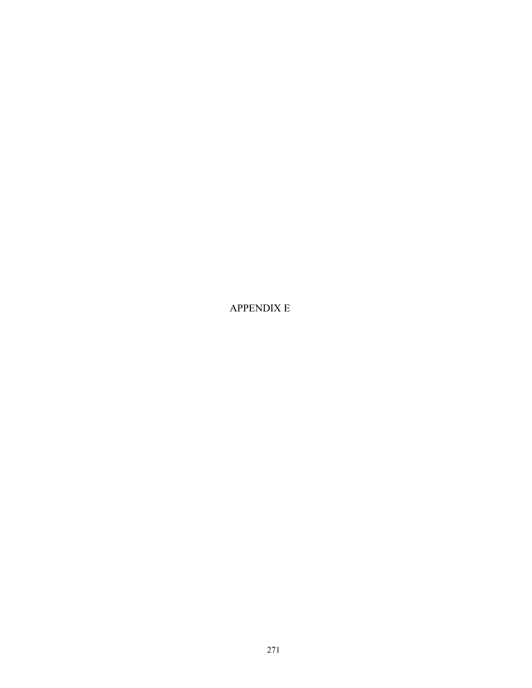APPENDIX E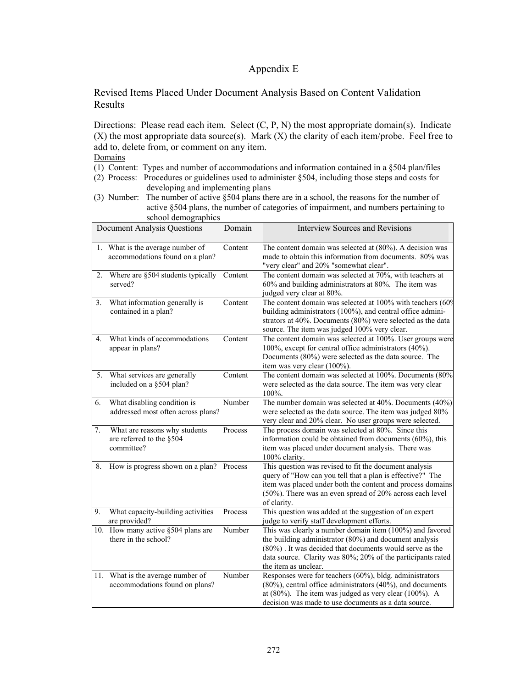### Appendix E

#### Revised Items Placed Under Document Analysis Based on Content Validation Results

Directions: Please read each item. Select (C, P, N) the most appropriate domain(s). Indicate  $(X)$  the most appropriate data source(s). Mark  $(X)$  the clarity of each item/probe. Feel free to add to, delete from, or comment on any item. **Domains** 

- (1) Content: Types and number of accommodations and information contained in a §504 plan/files
- (2) Process: Procedures or guidelines used to administer §504, including those steps and costs for
	- developing and implementing plans
- (3) Number: The number of active §504 plans there are in a school, the reasons for the number of active §504 plans, the number of categories of impairment, and numbers pertaining to school demographics

|                | <b>Document Analysis Questions</b>                                      | Domain                      | <b>Interview Sources and Revisions</b>                                                                                                                                                                                                                               |
|----------------|-------------------------------------------------------------------------|-----------------------------|----------------------------------------------------------------------------------------------------------------------------------------------------------------------------------------------------------------------------------------------------------------------|
|                | 1. What is the average number of<br>accommodations found on a plan?     | Content                     | The content domain was selected at $(80\%)$ . A decision was<br>made to obtain this information from documents. 80% was<br>"very clear" and 20% "somewhat clear".                                                                                                    |
| 2.             | Where are §504 students typically<br>served?                            | Content                     | The content domain was selected at 70%, with teachers at<br>60% and building administrators at 80%. The item was<br>judged very clear at 80%.                                                                                                                        |
| 3.             | What information generally is<br>contained in a plan?                   | $\overline{\text{Content}}$ | The content domain was selected at 100% with teachers (60%)<br>building administrators (100%), and central office admini-<br>strators at 40%. Documents (80%) were selected as the data<br>source. The item was judged 100% very clear.                              |
| 4 <sup>1</sup> | What kinds of accommodations<br>appear in plans?                        | Content                     | The content domain was selected at 100%. User groups were<br>100%, except for central office administrators (40%).<br>Documents (80%) were selected as the data source. The<br>item was very clear (100%).                                                           |
| 5.             | What services are generally<br>included on a §504 plan?                 | Content                     | The content domain was selected at 100%. Documents (80%)<br>were selected as the data source. The item was very clear<br>100%.                                                                                                                                       |
| 6.             | What disabling condition is<br>addressed most often across plans?       | Number                      | The number domain was selected at 40%. Documents (40%)<br>were selected as the data source. The item was judged 80%<br>very clear and 20% clear. No user groups were selected.                                                                                       |
| 7.             | What are reasons why students<br>are referred to the §504<br>committee? | Process                     | The process domain was selected at 80%. Since this<br>information could be obtained from documents (60%), this<br>item was placed under document analysis. There was<br>100% clarity.                                                                                |
| 8.             | How is progress shown on a plan?                                        | Process                     | This question was revised to fit the document analysis<br>query of "How can you tell that a plan is effective?" The<br>item was placed under both the content and process domains<br>(50%). There was an even spread of 20% across each level<br>of clarity.         |
| 9.             | What capacity-building activities<br>are provided?                      | Process                     | This question was added at the suggestion of an expert<br>judge to verify staff development efforts.                                                                                                                                                                 |
|                | 10. How many active §504 plans are<br>there in the school?              | Number                      | This was clearly a number domain item (100%) and favored<br>the building administrator (80%) and document analysis<br>(80%). It was decided that documents would serve as the<br>data source. Clarity was 80%; 20% of the participants rated<br>the item as unclear. |
|                | 11. What is the average number of<br>accommodations found on plans?     | Number                      | Responses were for teachers $(60\%)$ , bldg. administrators<br>(80%), central office administrators (40%), and documents<br>at $(80\%)$ . The item was judged as very clear $(100\%)$ . A<br>decision was made to use documents as a data source.                    |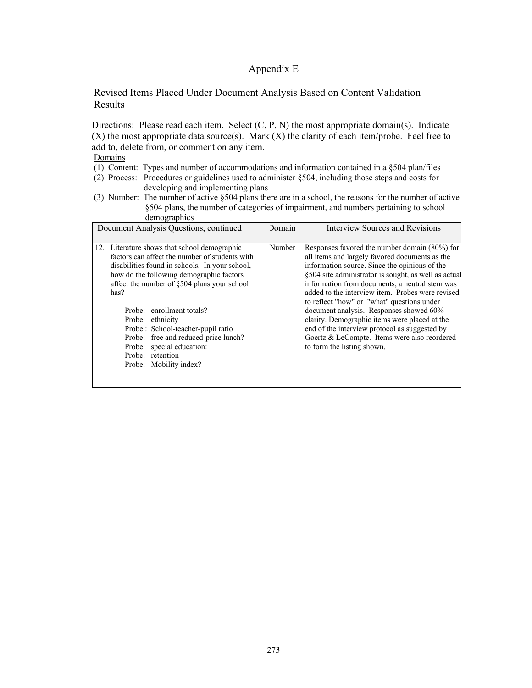#### Appendix E

#### Revised Items Placed Under Document Analysis Based on Content Validation Results

Directions: Please read each item. Select (C, P, N) the most appropriate domain(s). Indicate  $(X)$  the most appropriate data source(s). Mark  $(X)$  the clarity of each item/probe. Feel free to add to, delete from, or comment on any item.

- **Domains**
- (1) Content: Types and number of accommodations and information contained in a §504 plan/files
- (2) Process: Procedures or guidelines used to administer §504, including those steps and costs for developing and implementing plans
- (3) Number: The number of active §504 plans there are in a school, the reasons for the number of active §504 plans, the number of categories of impairment, and numbers pertaining to school demographics

| Document Analysis Questions, continued                                                                                                                                                                                                                                                                                                                                                                                                                       | Domain | Interview Sources and Revisions                                                                                                                                                                                                                                                                                                                                                                                                                                                                                                                                                         |
|--------------------------------------------------------------------------------------------------------------------------------------------------------------------------------------------------------------------------------------------------------------------------------------------------------------------------------------------------------------------------------------------------------------------------------------------------------------|--------|-----------------------------------------------------------------------------------------------------------------------------------------------------------------------------------------------------------------------------------------------------------------------------------------------------------------------------------------------------------------------------------------------------------------------------------------------------------------------------------------------------------------------------------------------------------------------------------------|
| 12. Literature shows that school demographic<br>factors can affect the number of students with<br>disabilities found in schools. In your school,<br>how do the following demographic factors<br>affect the number of §504 plans your school<br>has?<br>Probe: enrollment totals?<br>Probe: ethnicity<br>Probe: School-teacher-pupil ratio<br>Probe: free and reduced-price lunch?<br>Probe: special education:<br>Probe: retention<br>Probe: Mobility index? | Number | Responses favored the number domain (80%) for<br>all items and largely favored documents as the<br>information source. Since the opinions of the<br>§504 site administrator is sought, as well as actual<br>information from documents, a neutral stem was<br>added to the interview item. Probes were revised<br>to reflect "how" or "what" questions under<br>document analysis. Responses showed 60%<br>clarity. Demographic items were placed at the<br>end of the interview protocol as suggested by<br>Goertz & LeCompte. Items were also reordered<br>to form the listing shown. |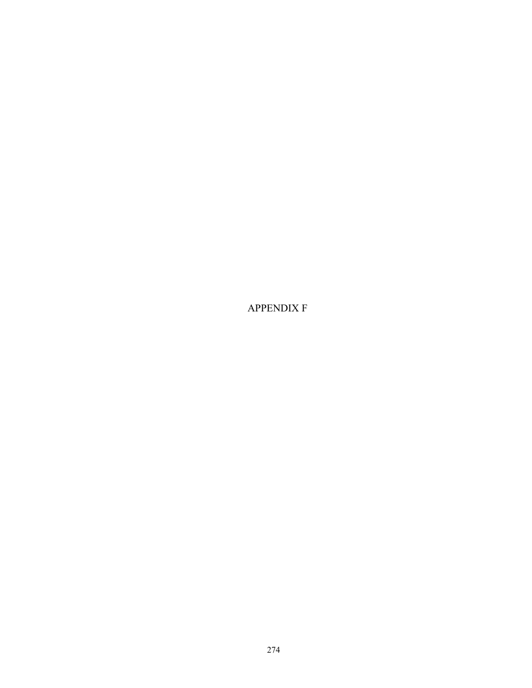APPENDIX F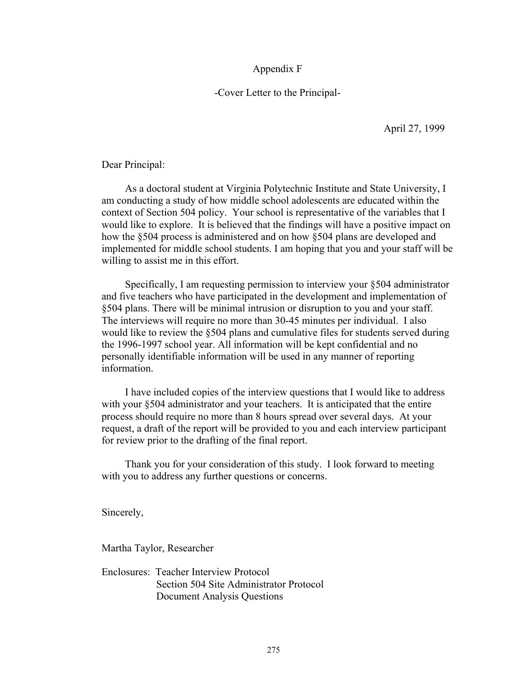#### Appendix F

#### -Cover Letter to the Principal-

April 27, 1999

Dear Principal:

 As a doctoral student at Virginia Polytechnic Institute and State University, I am conducting a study of how middle school adolescents are educated within the context of Section 504 policy. Your school is representative of the variables that I would like to explore. It is believed that the findings will have a positive impact on how the §504 process is administered and on how §504 plans are developed and implemented for middle school students. I am hoping that you and your staff will be willing to assist me in this effort.

 Specifically, I am requesting permission to interview your §504 administrator and five teachers who have participated in the development and implementation of §504 plans. There will be minimal intrusion or disruption to you and your staff. The interviews will require no more than 30-45 minutes per individual. I also would like to review the §504 plans and cumulative files for students served during the 1996-1997 school year. All information will be kept confidential and no personally identifiable information will be used in any manner of reporting information.

 I have included copies of the interview questions that I would like to address with your §504 administrator and your teachers. It is anticipated that the entire process should require no more than 8 hours spread over several days. At your request, a draft of the report will be provided to you and each interview participant for review prior to the drafting of the final report.

 Thank you for your consideration of this study. I look forward to meeting with you to address any further questions or concerns.

Sincerely,

Martha Taylor, Researcher

Enclosures: Teacher Interview Protocol Section 504 Site Administrator Protocol Document Analysis Questions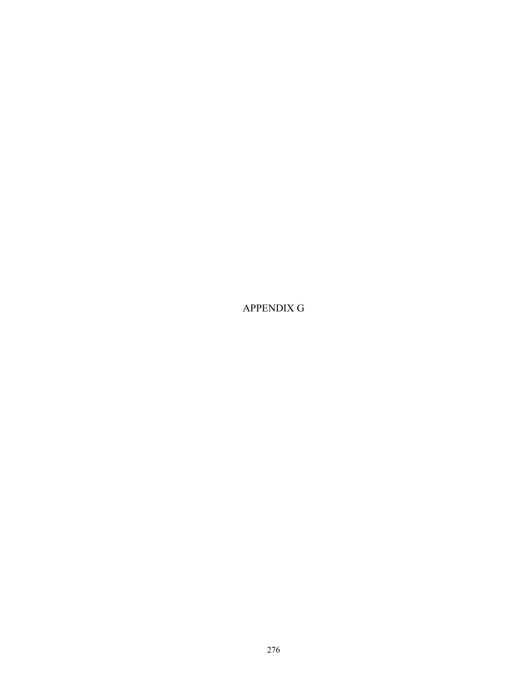APPENDIX G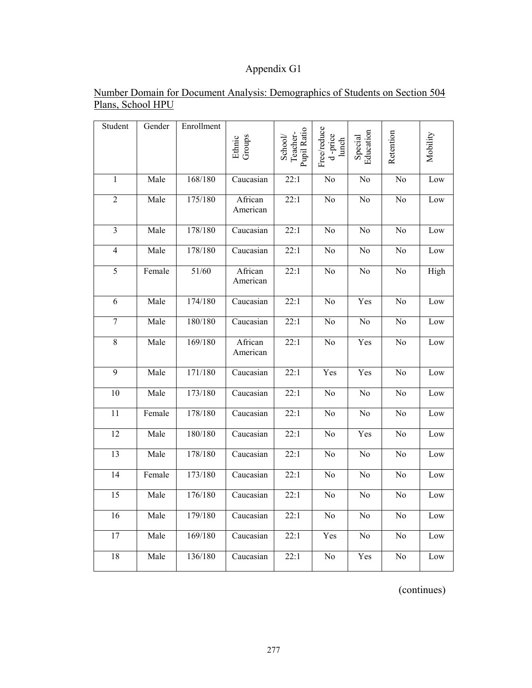## Appendix G1

| Student                 | Gender | Enrollment | Ethnic<br>Groups    | School/<br>Teacher-<br>Pupil Ratio | Free/reduce<br>d-price<br>lunch | Special<br>Education | Retention       | Mobility |
|-------------------------|--------|------------|---------------------|------------------------------------|---------------------------------|----------------------|-----------------|----------|
| $\mathbf{1}$            | Male   | 168/180    | Caucasian           | 22:1                               | No                              | No                   | No              | Low      |
| $\overline{2}$          | Male   | 175/180    | African<br>American | 22:1                               | No                              | No                   | $\overline{No}$ | Low      |
| $\overline{\mathbf{3}}$ | Male   | 178/180    | Caucasian           | 22:1                               | N <sub>o</sub>                  | No                   | N <sub>o</sub>  | Low      |
| $\overline{4}$          | Male   | 178/180    | Caucasian           | 22:1                               | No                              | No                   | $\rm No$        | Low      |
| 5                       | Female | 51/60      | African<br>American | 22:1                               | No                              | No                   | No              | High     |
| $\overline{6}$          | Male   | 174/180    | Caucasian           | 22:1                               | N <sub>o</sub>                  | Yes                  | N <sub>o</sub>  | Low      |
| $\overline{7}$          | Male   | 180/180    | Caucasian           | 22:1                               | No                              | No                   | No              | Low      |
| $\overline{8}$          | Male   | 169/180    | African<br>American | 22:1                               | $\overline{No}$                 | Yes                  | $\overline{No}$ | Low      |
| $\overline{9}$          | Male   | 171/180    | Caucasian           | 22:1                               | Yes                             | Yes                  | $\overline{No}$ | Low      |
| 10                      | Male   | 173/180    | Caucasian           | 22:1                               | No                              | No                   | No              | Low      |
| $\overline{11}$         | Female | 178/180    | Caucasian           | 22:1                               | $\overline{No}$                 | No                   | No              | Low      |
| 12                      | Male   | 180/180    | Caucasian           | 22:1                               | $\overline{No}$                 | Yes                  | $\overline{No}$ | Low      |
| 13                      | Male   | 178/180    | Caucasian           | 22:1                               | $\rm No$                        | No                   | No              | Low      |
| $\overline{14}$         | Female | 173/180    | Caucasian           | 22:1                               | N <sub>o</sub>                  | No                   | No              | Low      |
| 15                      | Male   | 176/180    | Caucasian           | 22:1                               | No                              | No                   | No              | Low      |
| 16                      | Male   | 179/180    | Caucasian           | 22:1                               | No                              | No                   | N <sub>o</sub>  | Low      |
| 17                      | Male   | 169/180    | Caucasian           | 22:1                               | Yes                             | No                   | No              | Low      |
| 18                      | Male   | 136/180    | Caucasian           | 22:1                               | $\rm No$                        | Yes                  | No              | Low      |
|                         |        |            |                     |                                    |                                 |                      |                 |          |

### Number Domain for Document Analysis: Demographics of Students on Section 504 Plans, School HPU

(continues)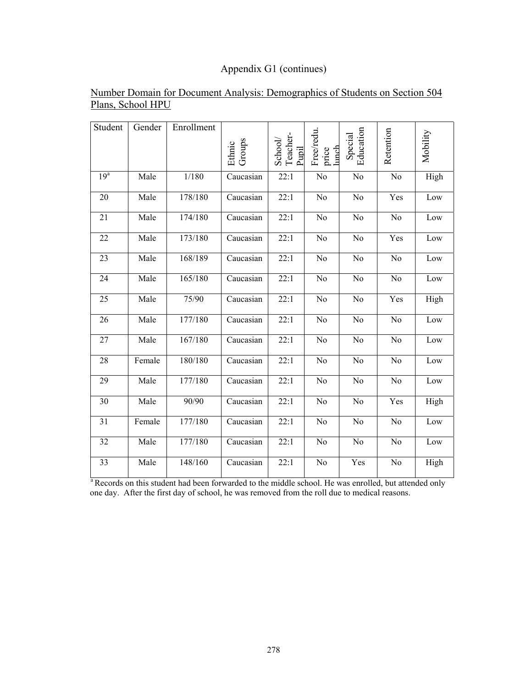## Appendix G1 (continues)

| Student         | Gender | Enrollment | Groups<br>Ethnic        | School/<br>Teacher-<br>Pupil | Free/redu<br>lunch<br>price | Education<br>Special | Retention      | Mobility |
|-----------------|--------|------------|-------------------------|------------------------------|-----------------------------|----------------------|----------------|----------|
| 19 <sup>a</sup> | Male   | 1/180      | Caucasian               | 22:1                         | No                          | No                   | No             | High     |
| 20              | Male   | 178/180    | Caucasian               | 22:1                         | N <sub>o</sub>              | No                   | Yes            | Low      |
| 21              | Male   | 174/180    | Caucasian               | 22:1                         | N <sub>o</sub>              | No                   | No             | Low      |
| 22              | Male   | 173/180    | Caucasian               | 22:1                         | N <sub>o</sub>              | No                   | Yes            | Low      |
| 23              | Male   | 168/189    | $\overline{C}$ aucasian | 22:1                         | N <sub>o</sub>              | No                   | N <sub>o</sub> | Low      |
| 24              | Male   | 165/180    | Caucasian               | 22:1                         | N <sub>o</sub>              | N <sub>0</sub>       | No             | Low      |
| 25              | Male   | 75/90      | Caucasian               | 22:1                         | No                          | No                   | Yes            | High     |
| 26              | Male   | 177/180    | Caucasian               | 22:1                         | No                          | No                   | N <sub>o</sub> | Low      |
| 27              | Male   | 167/180    | Caucasian               | 22:1                         | No                          | No                   | No             | Low      |
| 28              | Female | 180/180    | Caucasian               | 22:1                         | No                          | $\rm No$             | No             | Low      |
| 29              | Male   | 177/180    | Caucasian               | 22:1                         | No                          | No                   | No             | Low      |
| 30              | Male   | 90/90      | Caucasian               | 22:1                         | No                          | No                   | Yes            | High     |
| 31              | Female | 177/180    | Caucasian               | 22:1                         | No                          | No                   | N <sub>o</sub> | Low      |
| 32              | Male   | 177/180    | Caucasian               | 22:1                         | No                          | No                   | No             | Low      |
| 33              | Male   | 148/160    | Caucasian               | 22:1                         | No                          | Yes                  | N <sub>o</sub> | High     |

### Number Domain for Document Analysis: Demographics of Students on Section 504 Plans, School HPU

<sup>a</sup> Records on this student had been forwarded to the middle school. He was enrolled, but attended only one day. After the first day of school, he was removed from the roll due to medical reasons.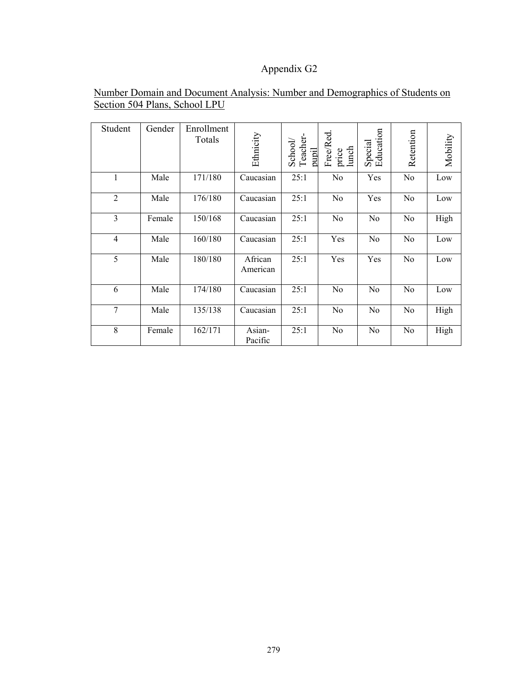## Appendix G2

| Student        | Gender | Enrollment<br>Totals | Ethnicity           | Teacher-<br>School/<br>pupil | Free/Red.<br>price<br>lunch | Education<br>Special | Retention      | Mobility |
|----------------|--------|----------------------|---------------------|------------------------------|-----------------------------|----------------------|----------------|----------|
| 1              | Male   | 171/180              | Caucasian           | 25:1                         | No                          | Yes                  | N <sub>0</sub> | Low      |
| $\overline{2}$ | Male   | 176/180              | Caucasian           | 25:1                         | No                          | Yes                  | No             | Low      |
| 3              | Female | 150/168              | Caucasian           | 25:1                         | No                          | N <sub>0</sub>       | N <sub>0</sub> | High     |
| $\overline{4}$ | Male   | 160/180              | Caucasian           | 25:1                         | Yes                         | No                   | N <sub>0</sub> | Low      |
| 5              | Male   | 180/180              | African<br>American | 25:1                         | Yes                         | Yes                  | N <sub>0</sub> | Low      |
| 6              | Male   | 174/180              | Caucasian           | 25:1                         | N <sub>0</sub>              | N <sub>0</sub>       | N <sub>0</sub> | Low      |
| $\overline{7}$ | Male   | 135/138              | Caucasian           | 25:1                         | N <sub>0</sub>              | N <sub>0</sub>       | N <sub>0</sub> | High     |
| 8              | Female | 162/171              | Asian-<br>Pacific   | 25:1                         | N <sub>0</sub>              | N <sub>0</sub>       | N <sub>0</sub> | High     |

#### Number Domain and Document Analysis: Number and Demographics of Students on Section 504 Plans, School LPU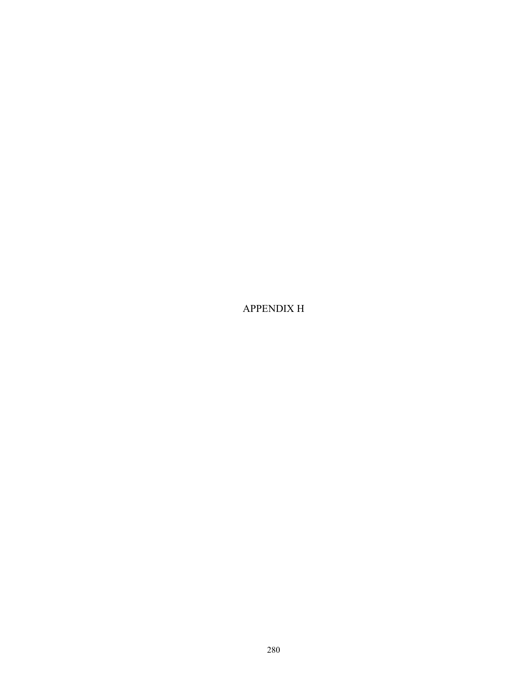APPENDIX H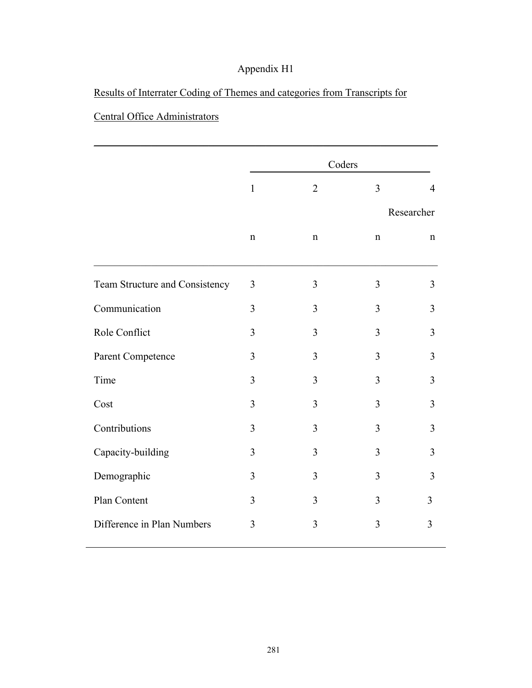## Results of Interrater Coding of Themes and categories from Transcripts for

## Central Office Administrators

|                                | Coders         |                |             |                |
|--------------------------------|----------------|----------------|-------------|----------------|
|                                | $\mathbf{1}$   | $\overline{2}$ | 3           | $\overline{4}$ |
|                                |                |                |             | Researcher     |
|                                | $\mathbf n$    | $\mathbf n$    | $\mathbf n$ | $\mathbf n$    |
| Team Structure and Consistency | 3              | 3              | 3           | $\overline{3}$ |
| Communication                  | $\overline{3}$ | 3              | 3           | 3              |
| Role Conflict                  | 3              | 3              | 3           | $\overline{3}$ |
| Parent Competence              | 3              | 3              | 3           | 3              |
| Time                           | $\overline{3}$ | 3              | 3           | 3              |
| Cost                           | $\overline{3}$ | 3              | 3           | 3              |
| Contributions                  | 3              | 3              | 3           | 3              |
| Capacity-building              | $\overline{3}$ | 3              | 3           | $\overline{3}$ |
| Demographic                    | $\overline{3}$ | 3              | 3           | 3              |
| Plan Content                   | 3              | 3              | 3           | 3              |
| Difference in Plan Numbers     | 3              | 3              | 3           | 3              |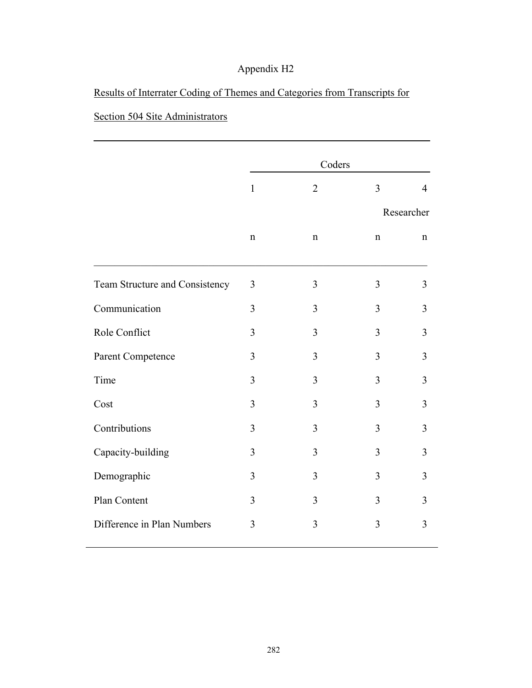## Results of Interrater Coding of Themes and Categories from Transcripts for

## Section 504 Site Administrators

|                                |                | Coders         |             |                |
|--------------------------------|----------------|----------------|-------------|----------------|
|                                | $\mathbf{1}$   | $\overline{2}$ | 3           | $\overline{4}$ |
|                                | Researcher     |                |             |                |
|                                | $\mathbf n$    | $\mathbf n$    | $\mathbf n$ | $\mathbf n$    |
| Team Structure and Consistency | 3              | 3              | 3           | 3              |
| Communication                  | 3              | $\overline{3}$ | 3           | $\overline{3}$ |
| Role Conflict                  | 3              | 3              | 3           | 3              |
| Parent Competence              | $\mathfrak{Z}$ | $\overline{3}$ | 3           | $\overline{3}$ |
| Time                           | 3              | 3              | 3           | 3              |
| Cost                           | 3              | 3              | 3           | 3              |
| Contributions                  | 3              | 3              | 3           | 3              |
| Capacity-building              | 3              | 3              | 3           | 3              |
| Demographic                    | 3              | 3              | 3           | $\overline{3}$ |
| Plan Content                   | 3              | 3              | 3           | 3              |
| Difference in Plan Numbers     | 3              | $\overline{3}$ | 3           | $\overline{3}$ |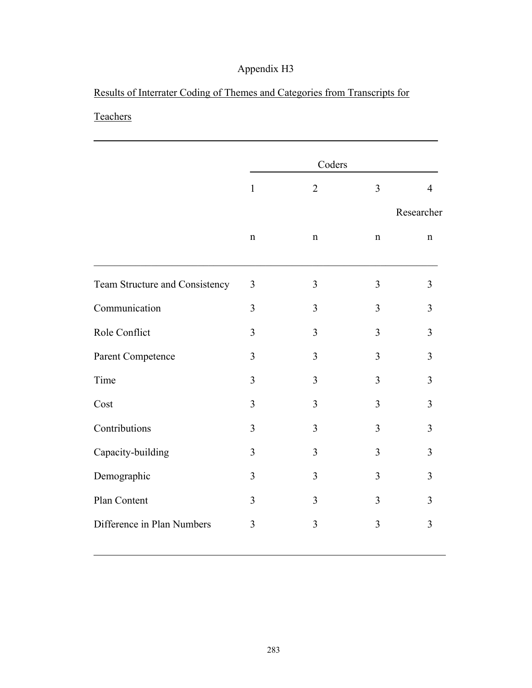## Results of Interrater Coding of Themes and Categories from Transcripts for

## **Teachers**

|                                |                | Coders         |                |                |
|--------------------------------|----------------|----------------|----------------|----------------|
|                                | $\mathbf{1}$   | $\overline{2}$ | 3              | $\overline{4}$ |
|                                |                |                |                | Researcher     |
|                                | $\mathbf n$    | $\mathbf n$    | $\mathbf n$    | n              |
| Team Structure and Consistency | 3              | $\overline{3}$ | $\overline{3}$ | 3              |
| Communication                  | 3              | $\overline{3}$ | 3              | 3              |
| Role Conflict                  | 3              | 3              | 3              | 3              |
| Parent Competence              | 3              | $\overline{3}$ | 3              | $\overline{3}$ |
| Time                           | $\overline{3}$ | $\overline{3}$ | 3              | 3              |
| Cost                           | 3              | 3              | $\overline{3}$ | 3              |
| Contributions                  | 3              | 3              | 3              | 3              |
| Capacity-building              | 3              | $\overline{3}$ | 3              | 3              |
| Demographic                    | 3              | 3              | 3              | 3              |
| Plan Content                   | 3              | 3              | $\overline{3}$ | $\overline{3}$ |
| Difference in Plan Numbers     | $\overline{3}$ | $\overline{3}$ | 3              | 3              |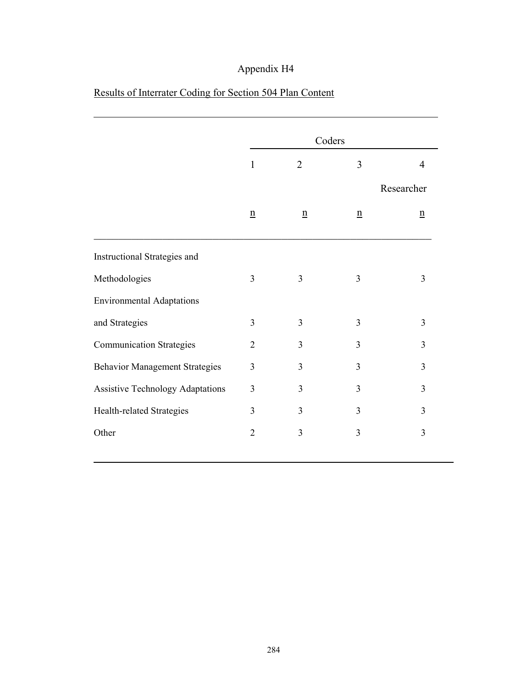|                                         | Coders          |                 |                 |                 |
|-----------------------------------------|-----------------|-----------------|-----------------|-----------------|
|                                         | $\mathbf{1}$    | $\overline{2}$  | 3               | $\overline{4}$  |
|                                         |                 |                 |                 | Researcher      |
|                                         | $\underline{n}$ | $\underline{n}$ | $\underline{n}$ | $\underline{n}$ |
| Instructional Strategies and            |                 |                 |                 |                 |
| Methodologies                           | 3               | 3               | 3               | 3               |
| <b>Environmental Adaptations</b>        |                 |                 |                 |                 |
| and Strategies                          | 3               | 3               | 3               | 3               |
| <b>Communication Strategies</b>         | $\overline{2}$  | $\overline{3}$  | $\overline{3}$  | $\overline{3}$  |
| <b>Behavior Management Strategies</b>   | 3               | 3               | 3               | $\overline{3}$  |
| <b>Assistive Technology Adaptations</b> | 3               | 3               | 3               | $\overline{3}$  |
| Health-related Strategies               | 3               | 3               | 3               | 3               |
| Other                                   | $\overline{2}$  | $\mathfrak{Z}$  | $\overline{3}$  | 3               |
|                                         |                 |                 |                 |                 |

## Results of Interrater Coding for Section 504 Plan Content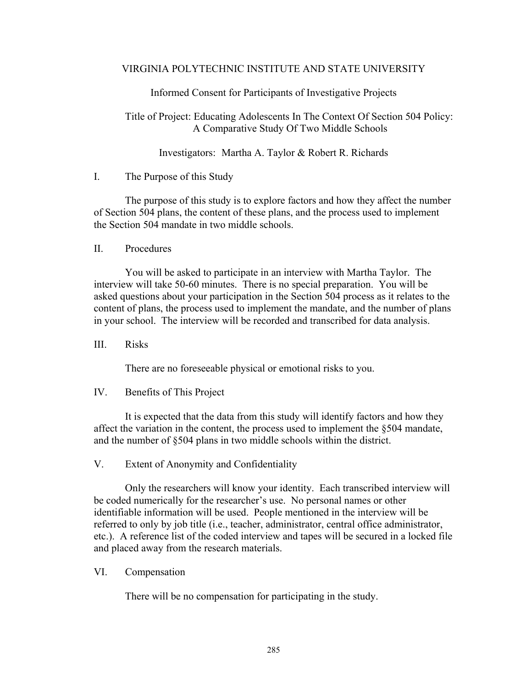#### VIRGINIA POLYTECHNIC INSTITUTE AND STATE UNIVERSITY

Informed Consent for Participants of Investigative Projects

Title of Project: Educating Adolescents In The Context Of Section 504 Policy: A Comparative Study Of Two Middle Schools

Investigators: Martha A. Taylor & Robert R. Richards

I. The Purpose of this Study

 The purpose of this study is to explore factors and how they affect the number of Section 504 plans, the content of these plans, and the process used to implement the Section 504 mandate in two middle schools.

II. Procedures

 You will be asked to participate in an interview with Martha Taylor. The interview will take 50-60 minutes. There is no special preparation. You will be asked questions about your participation in the Section 504 process as it relates to the content of plans, the process used to implement the mandate, and the number of plans in your school. The interview will be recorded and transcribed for data analysis.

III. Risks

There are no foreseeable physical or emotional risks to you.

IV. Benefits of This Project

 It is expected that the data from this study will identify factors and how they affect the variation in the content, the process used to implement the §504 mandate, and the number of §504 plans in two middle schools within the district.

V. Extent of Anonymity and Confidentiality

 Only the researchers will know your identity. Each transcribed interview will be coded numerically for the researcher's use. No personal names or other identifiable information will be used. People mentioned in the interview will be referred to only by job title (i.e., teacher, administrator, central office administrator, etc.). A reference list of the coded interview and tapes will be secured in a locked file and placed away from the research materials.

VI. Compensation

There will be no compensation for participating in the study.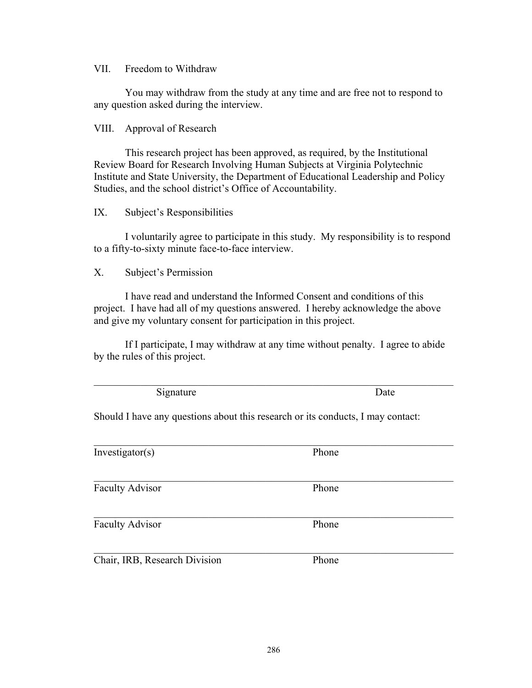286

VII. Freedom to Withdraw

 You may withdraw from the study at any time and are free not to respond to any question asked during the interview.

#### VIII. Approval of Research

 This research project has been approved, as required, by the Institutional Review Board for Research Involving Human Subjects at Virginia Polytechnic Institute and State University, the Department of Educational Leadership and Policy Studies, and the school district's Office of Accountability.

### IX. Subject's Responsibilities

 I voluntarily agree to participate in this study. My responsibility is to respond to a fifty-to-sixty minute face-to-face interview.

### X. Subject's Permission

 I have read and understand the Informed Consent and conditions of this project. I have had all of my questions answered. I hereby acknowledge the above and give my voluntary consent for participation in this project.

 If I participate, I may withdraw at any time without penalty. I agree to abide by the rules of this project.

Signature Date

Should I have any questions about this research or its conducts, I may contact:

| Investigator(s)               | Phone |  |
|-------------------------------|-------|--|
|                               |       |  |
| <b>Faculty Advisor</b>        | Phone |  |
| <b>Faculty Advisor</b>        | Phone |  |
| Chair, IRB, Research Division | Phone |  |

 $\mathcal{L}_\mathcal{L} = \mathcal{L}_\mathcal{L} = \mathcal{L}_\mathcal{L} = \mathcal{L}_\mathcal{L} = \mathcal{L}_\mathcal{L} = \mathcal{L}_\mathcal{L} = \mathcal{L}_\mathcal{L} = \mathcal{L}_\mathcal{L} = \mathcal{L}_\mathcal{L} = \mathcal{L}_\mathcal{L} = \mathcal{L}_\mathcal{L} = \mathcal{L}_\mathcal{L} = \mathcal{L}_\mathcal{L} = \mathcal{L}_\mathcal{L} = \mathcal{L}_\mathcal{L} = \mathcal{L}_\mathcal{L} = \mathcal{L}_\mathcal{L}$